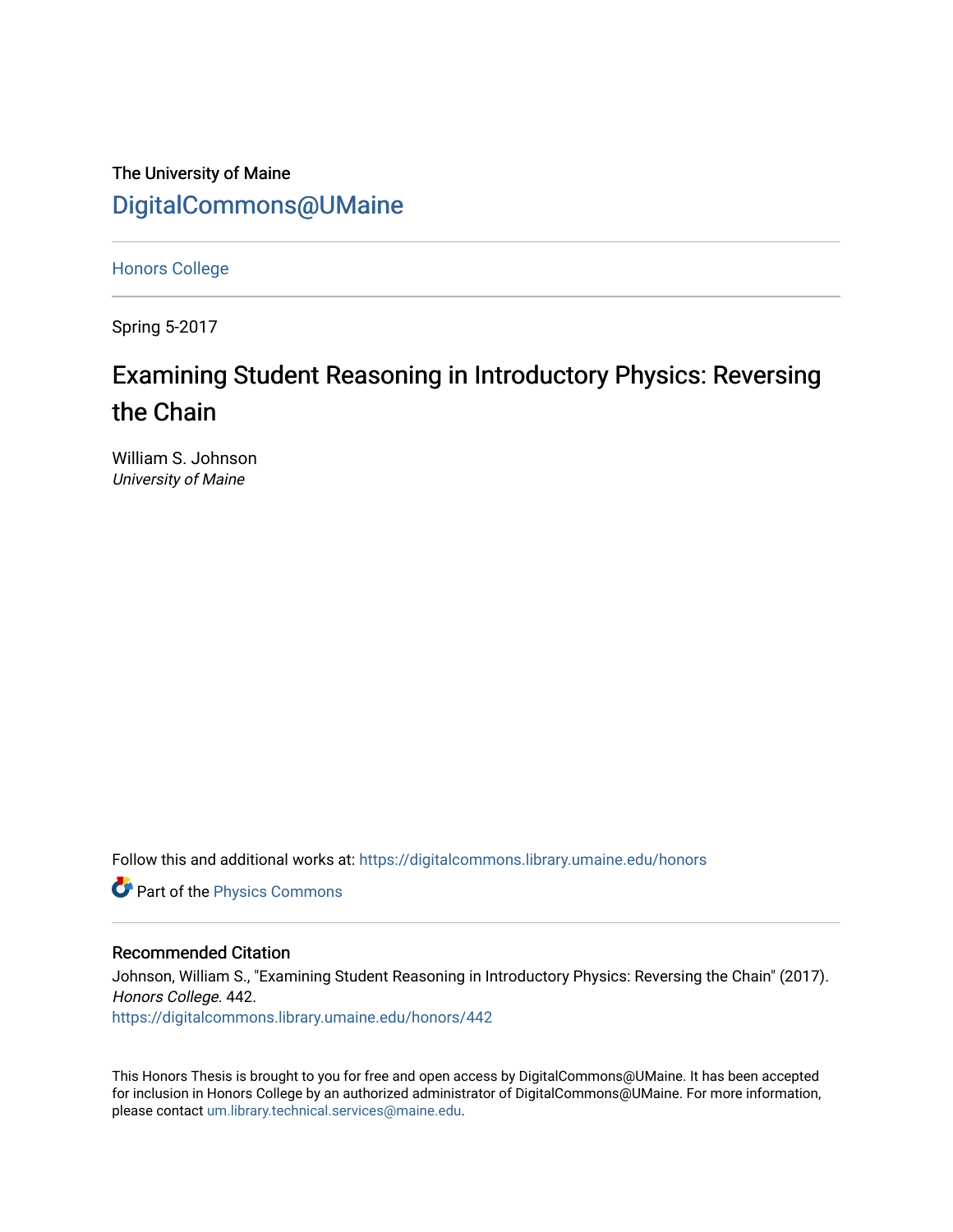The University of Maine [DigitalCommons@UMaine](https://digitalcommons.library.umaine.edu/)

[Honors College](https://digitalcommons.library.umaine.edu/honors)

Spring 5-2017

# Examining Student Reasoning in Introductory Physics: Reversing the Chain

William S. Johnson University of Maine

Follow this and additional works at: [https://digitalcommons.library.umaine.edu/honors](https://digitalcommons.library.umaine.edu/honors?utm_source=digitalcommons.library.umaine.edu%2Fhonors%2F442&utm_medium=PDF&utm_campaign=PDFCoverPages) 

**Part of the [Physics Commons](http://network.bepress.com/hgg/discipline/193?utm_source=digitalcommons.library.umaine.edu%2Fhonors%2F442&utm_medium=PDF&utm_campaign=PDFCoverPages)** 

#### Recommended Citation

Johnson, William S., "Examining Student Reasoning in Introductory Physics: Reversing the Chain" (2017). Honors College. 442.

[https://digitalcommons.library.umaine.edu/honors/442](https://digitalcommons.library.umaine.edu/honors/442?utm_source=digitalcommons.library.umaine.edu%2Fhonors%2F442&utm_medium=PDF&utm_campaign=PDFCoverPages) 

This Honors Thesis is brought to you for free and open access by DigitalCommons@UMaine. It has been accepted for inclusion in Honors College by an authorized administrator of DigitalCommons@UMaine. For more information, please contact [um.library.technical.services@maine.edu.](mailto:um.library.technical.services@maine.edu)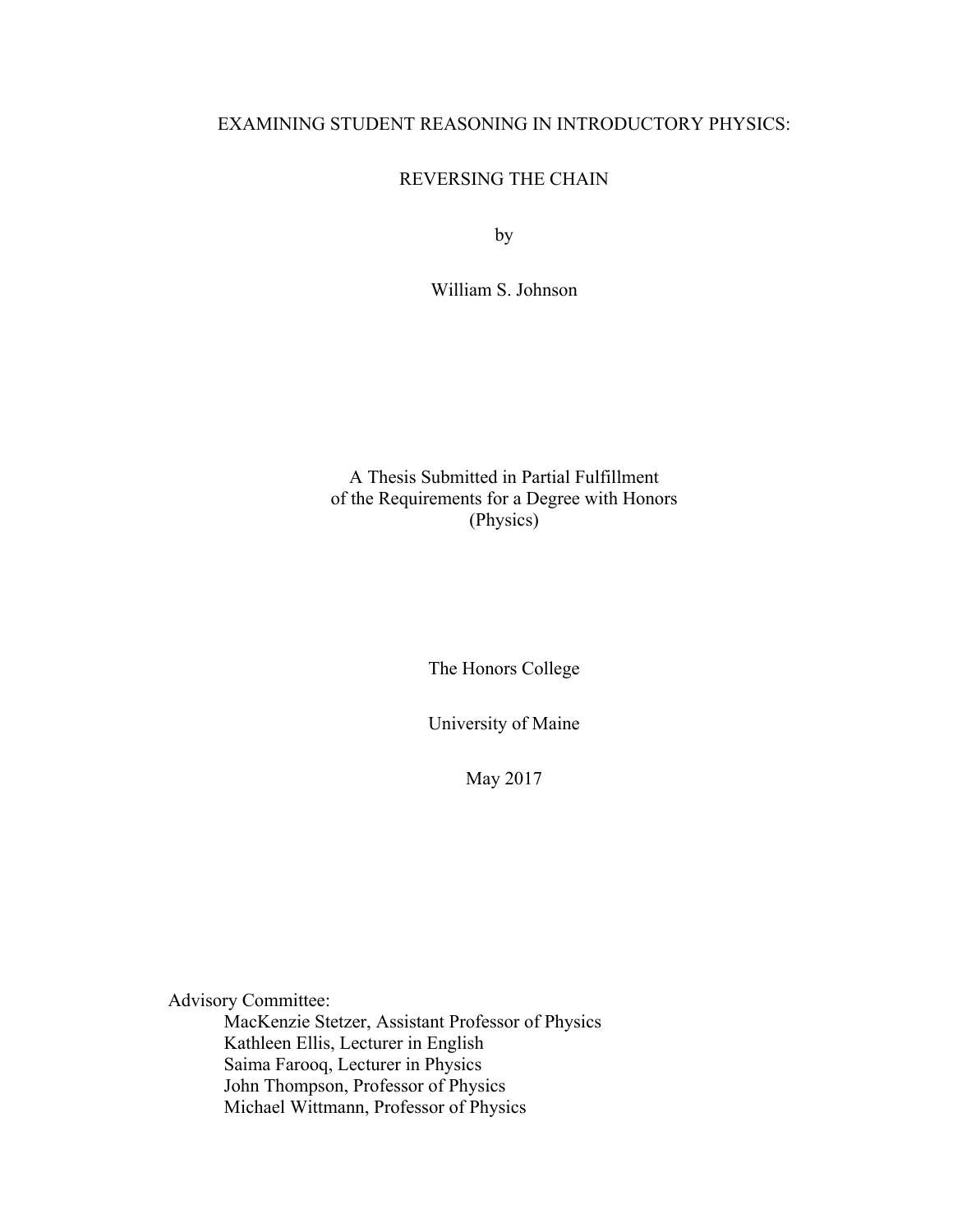# EXAMINING STUDENT REASONING IN INTRODUCTORY PHYSICS:

# REVERSING THE CHAIN

by

William S. Johnson

A Thesis Submitted in Partial Fulfillment of the Requirements for a Degree with Honors (Physics)

The Honors College

University of Maine

May 2017

Advisory Committee:

MacKenzie Stetzer, Assistant Professor of Physics Kathleen Ellis, Lecturer in English Saima Farooq, Lecturer in Physics John Thompson, Professor of Physics Michael Wittmann, Professor of Physics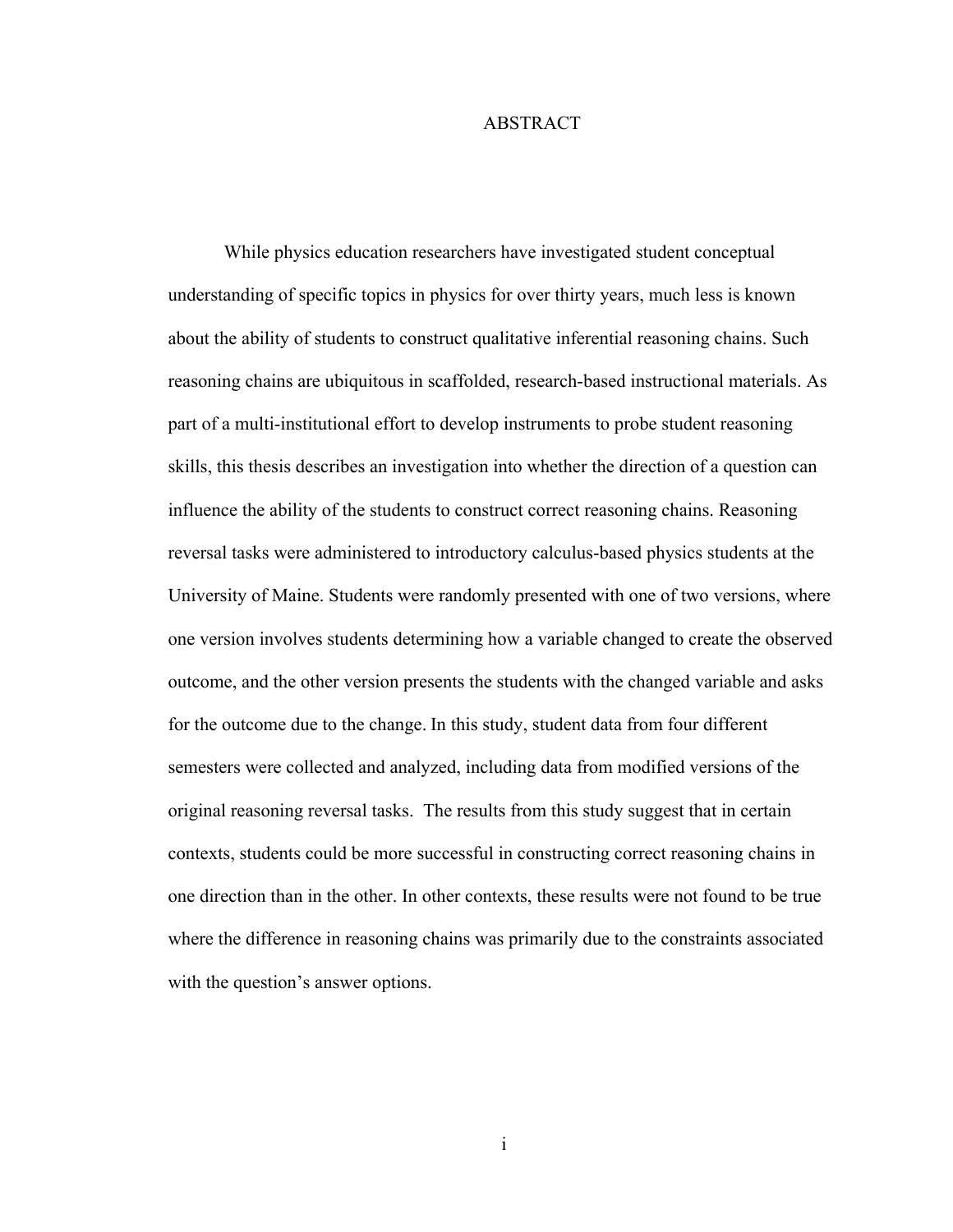#### ABSTRACT

While physics education researchers have investigated student conceptual understanding of specific topics in physics for over thirty years, much less is known about the ability of students to construct qualitative inferential reasoning chains. Such reasoning chains are ubiquitous in scaffolded, research-based instructional materials. As part of a multi-institutional effort to develop instruments to probe student reasoning skills, this thesis describes an investigation into whether the direction of a question can influence the ability of the students to construct correct reasoning chains. Reasoning reversal tasks were administered to introductory calculus-based physics students at the University of Maine. Students were randomly presented with one of two versions, where one version involves students determining how a variable changed to create the observed outcome, and the other version presents the students with the changed variable and asks for the outcome due to the change. In this study, student data from four different semesters were collected and analyzed, including data from modified versions of the original reasoning reversal tasks. The results from this study suggest that in certain contexts, students could be more successful in constructing correct reasoning chains in one direction than in the other. In other contexts, these results were not found to be true where the difference in reasoning chains was primarily due to the constraints associated with the question's answer options.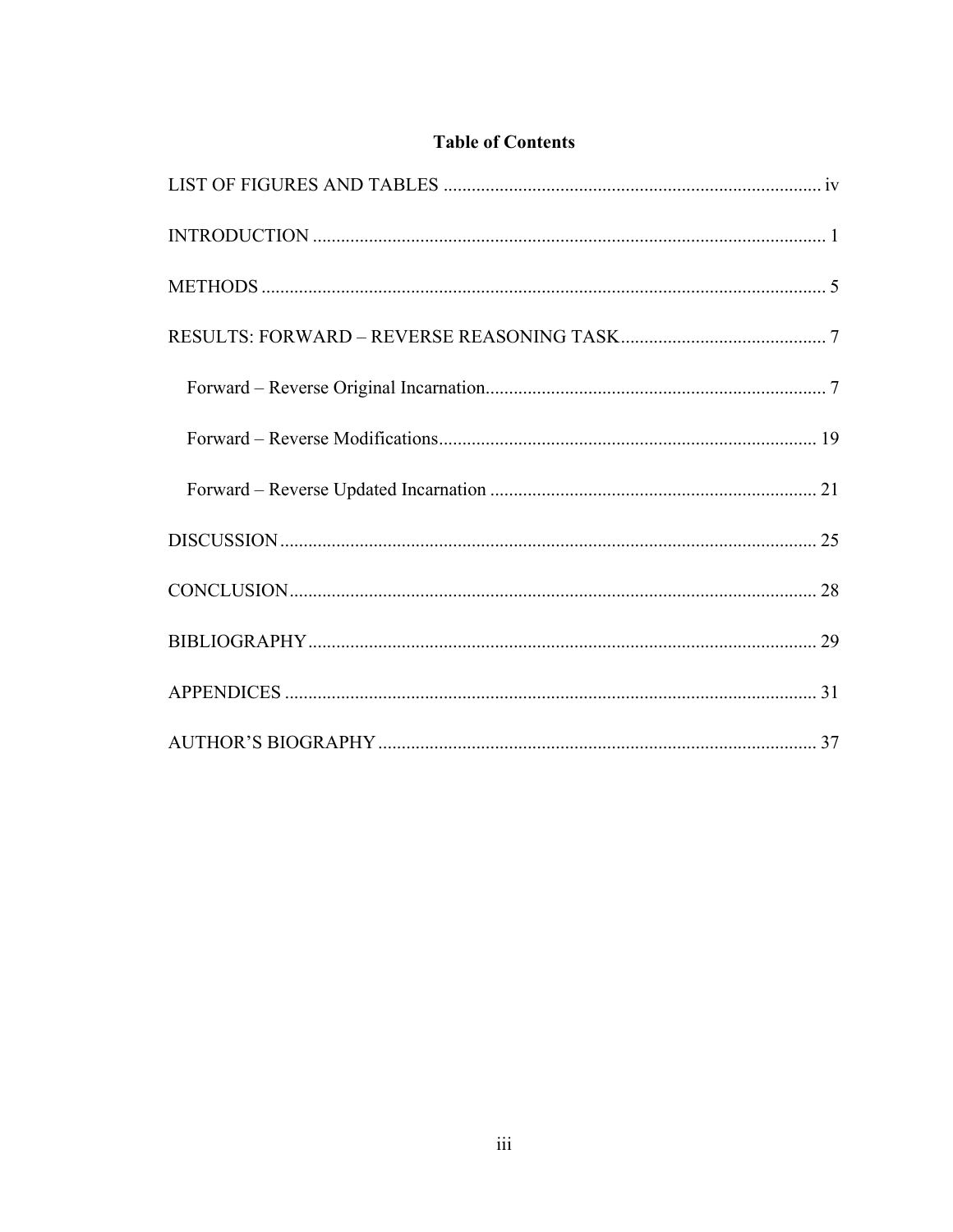# **Table of Contents**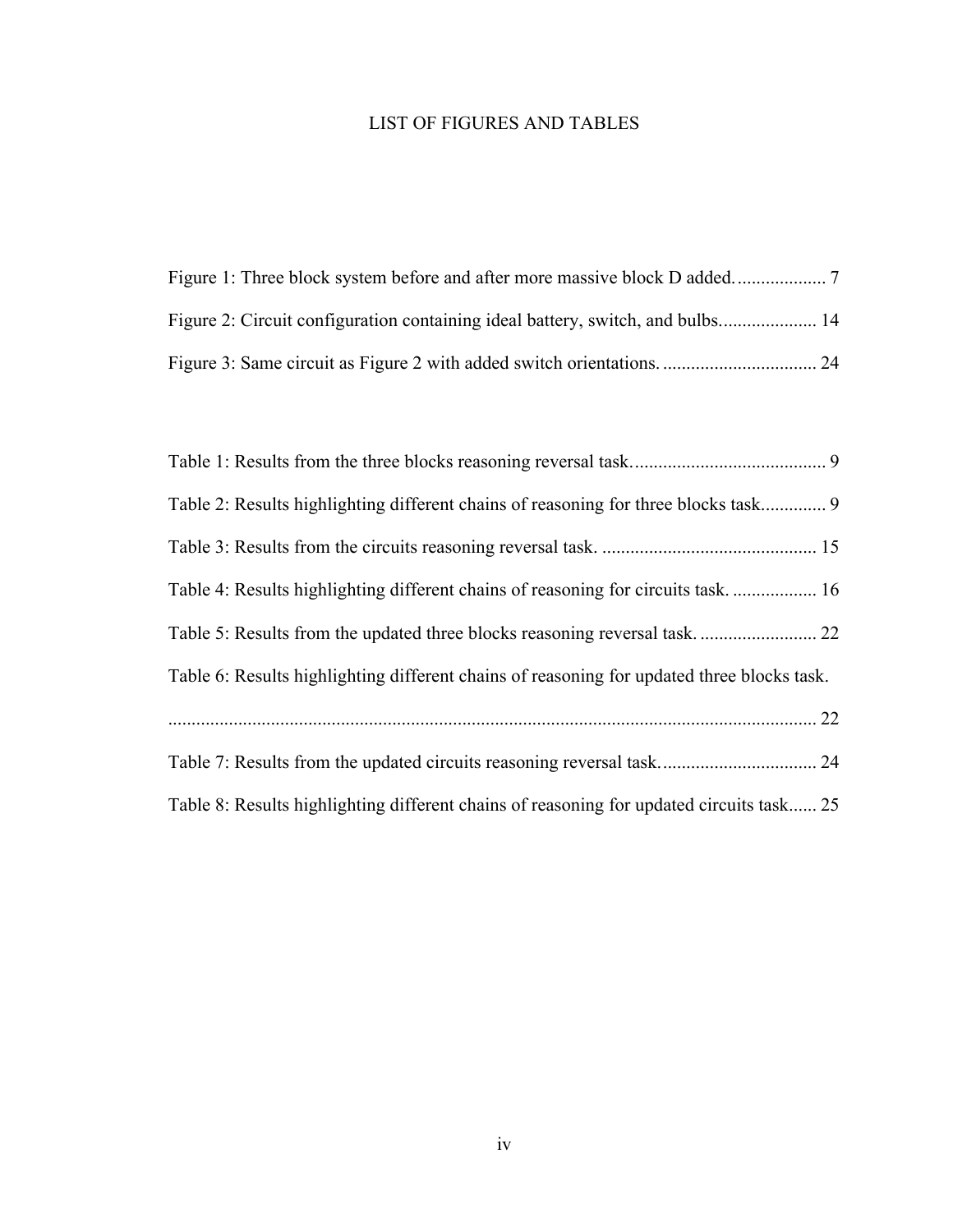# LIST OF FIGURES AND TABLES

| Figure 2: Circuit configuration containing ideal battery, switch, and bulbs 14 |  |
|--------------------------------------------------------------------------------|--|
|                                                                                |  |

| Table 2: Results highlighting different chains of reasoning for three blocks task 9        |  |
|--------------------------------------------------------------------------------------------|--|
|                                                                                            |  |
| Table 4: Results highlighting different chains of reasoning for circuits task 16           |  |
|                                                                                            |  |
| Table 6: Results highlighting different chains of reasoning for updated three blocks task. |  |
|                                                                                            |  |
|                                                                                            |  |
| Table 8: Results highlighting different chains of reasoning for updated circuits task 25   |  |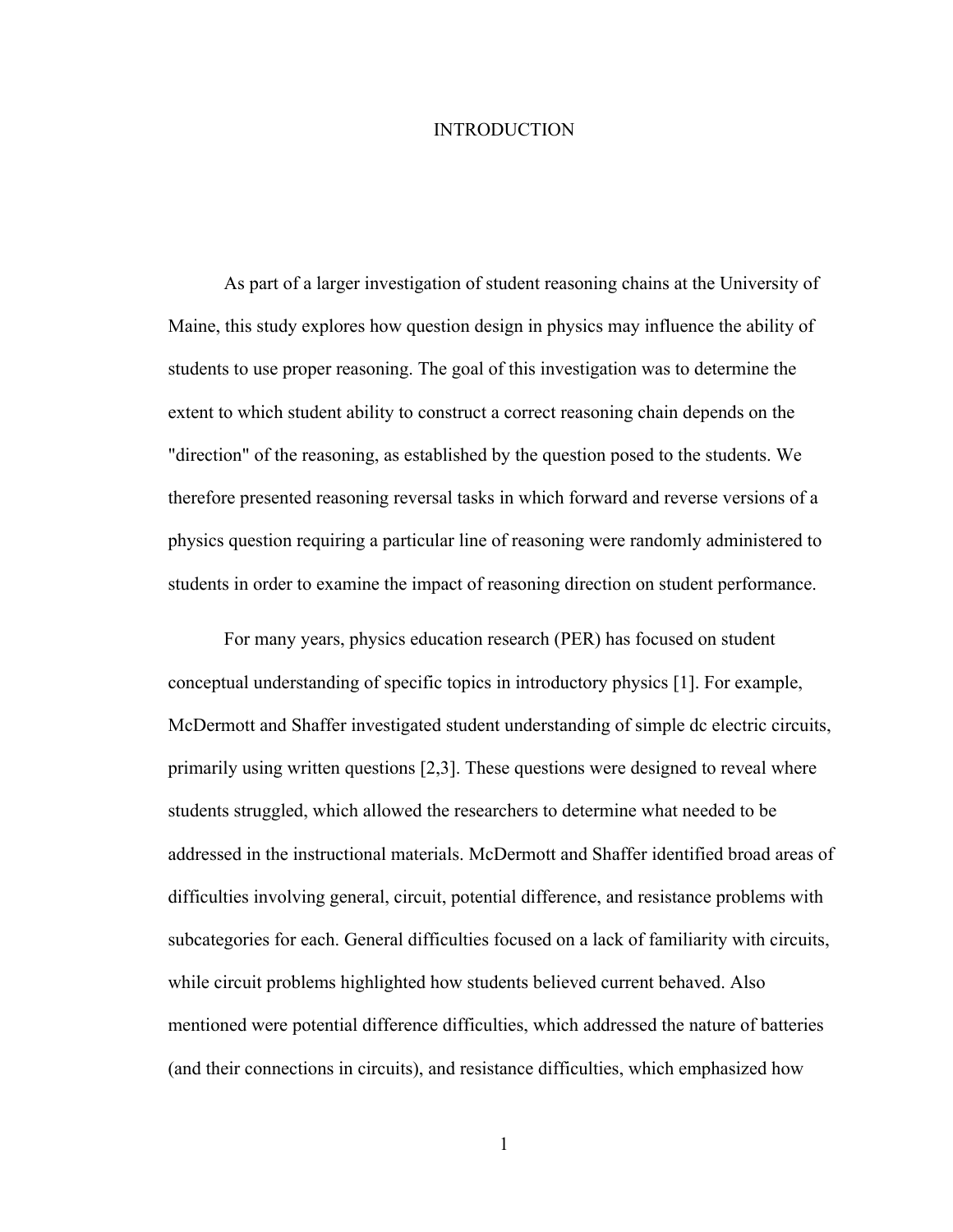#### INTRODUCTION

As part of a larger investigation of student reasoning chains at the University of Maine, this study explores how question design in physics may influence the ability of students to use proper reasoning. The goal of this investigation was to determine the extent to which student ability to construct a correct reasoning chain depends on the "direction" of the reasoning, as established by the question posed to the students. We therefore presented reasoning reversal tasks in which forward and reverse versions of a physics question requiring a particular line of reasoning were randomly administered to students in order to examine the impact of reasoning direction on student performance.

For many years, physics education research (PER) has focused on student conceptual understanding of specific topics in introductory physics [1]. For example, McDermott and Shaffer investigated student understanding of simple dc electric circuits, primarily using written questions [2,3]. These questions were designed to reveal where students struggled, which allowed the researchers to determine what needed to be addressed in the instructional materials. McDermott and Shaffer identified broad areas of difficulties involving general, circuit, potential difference, and resistance problems with subcategories for each. General difficulties focused on a lack of familiarity with circuits, while circuit problems highlighted how students believed current behaved. Also mentioned were potential difference difficulties, which addressed the nature of batteries (and their connections in circuits), and resistance difficulties, which emphasized how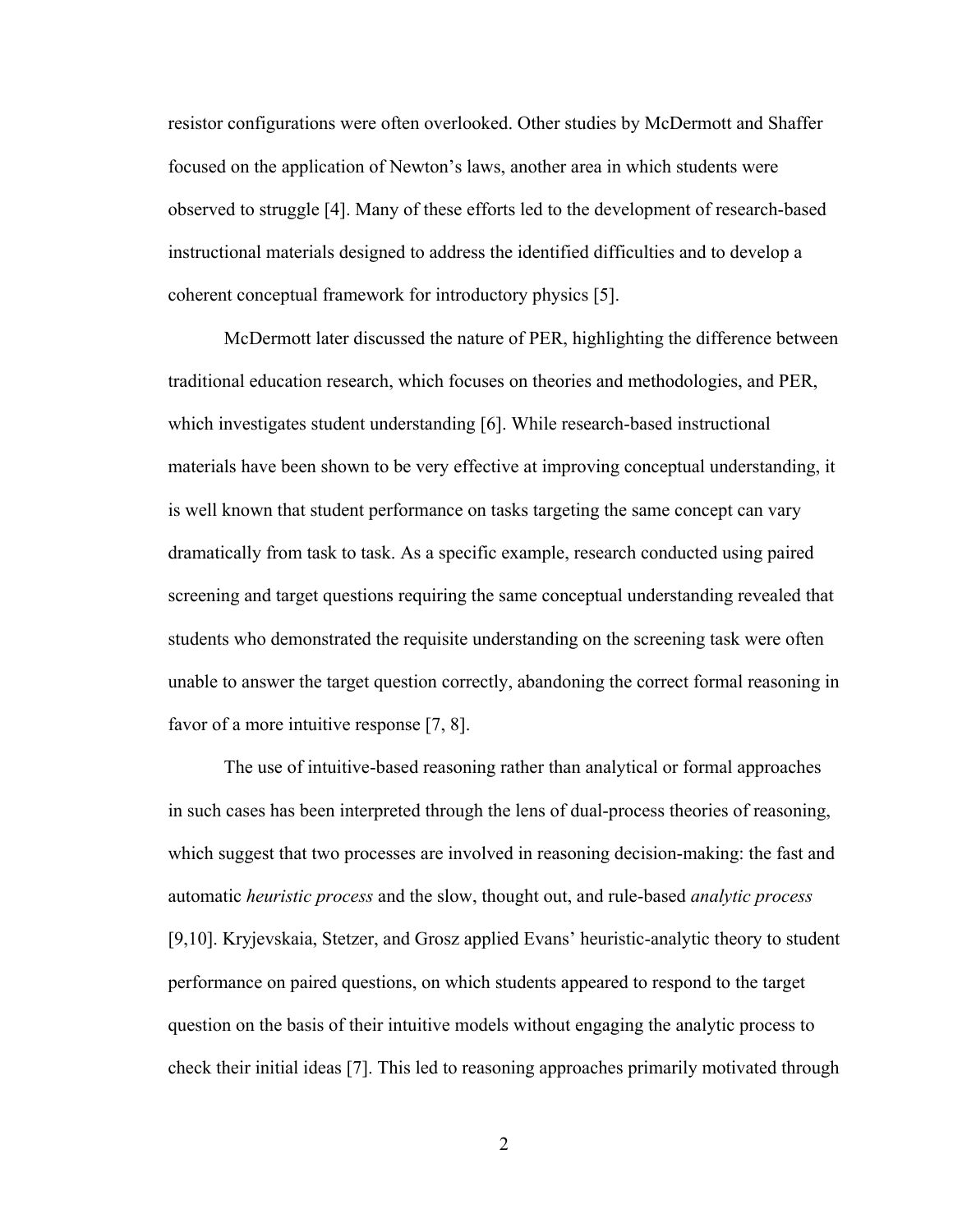resistor configurations were often overlooked. Other studies by McDermott and Shaffer focused on the application of Newton's laws, another area in which students were observed to struggle [4]. Many of these efforts led to the development of research-based instructional materials designed to address the identified difficulties and to develop a coherent conceptual framework for introductory physics [5].

McDermott later discussed the nature of PER, highlighting the difference between traditional education research, which focuses on theories and methodologies, and PER, which investigates student understanding [6]. While research-based instructional materials have been shown to be very effective at improving conceptual understanding, it is well known that student performance on tasks targeting the same concept can vary dramatically from task to task. As a specific example, research conducted using paired screening and target questions requiring the same conceptual understanding revealed that students who demonstrated the requisite understanding on the screening task were often unable to answer the target question correctly, abandoning the correct formal reasoning in favor of a more intuitive response [7, 8].

The use of intuitive-based reasoning rather than analytical or formal approaches in such cases has been interpreted through the lens of dual-process theories of reasoning, which suggest that two processes are involved in reasoning decision-making: the fast and automatic *heuristic process* and the slow, thought out, and rule-based *analytic process* [9,10]. Kryjevskaia, Stetzer, and Grosz applied Evans' heuristic-analytic theory to student performance on paired questions, on which students appeared to respond to the target question on the basis of their intuitive models without engaging the analytic process to check their initial ideas [7]. This led to reasoning approaches primarily motivated through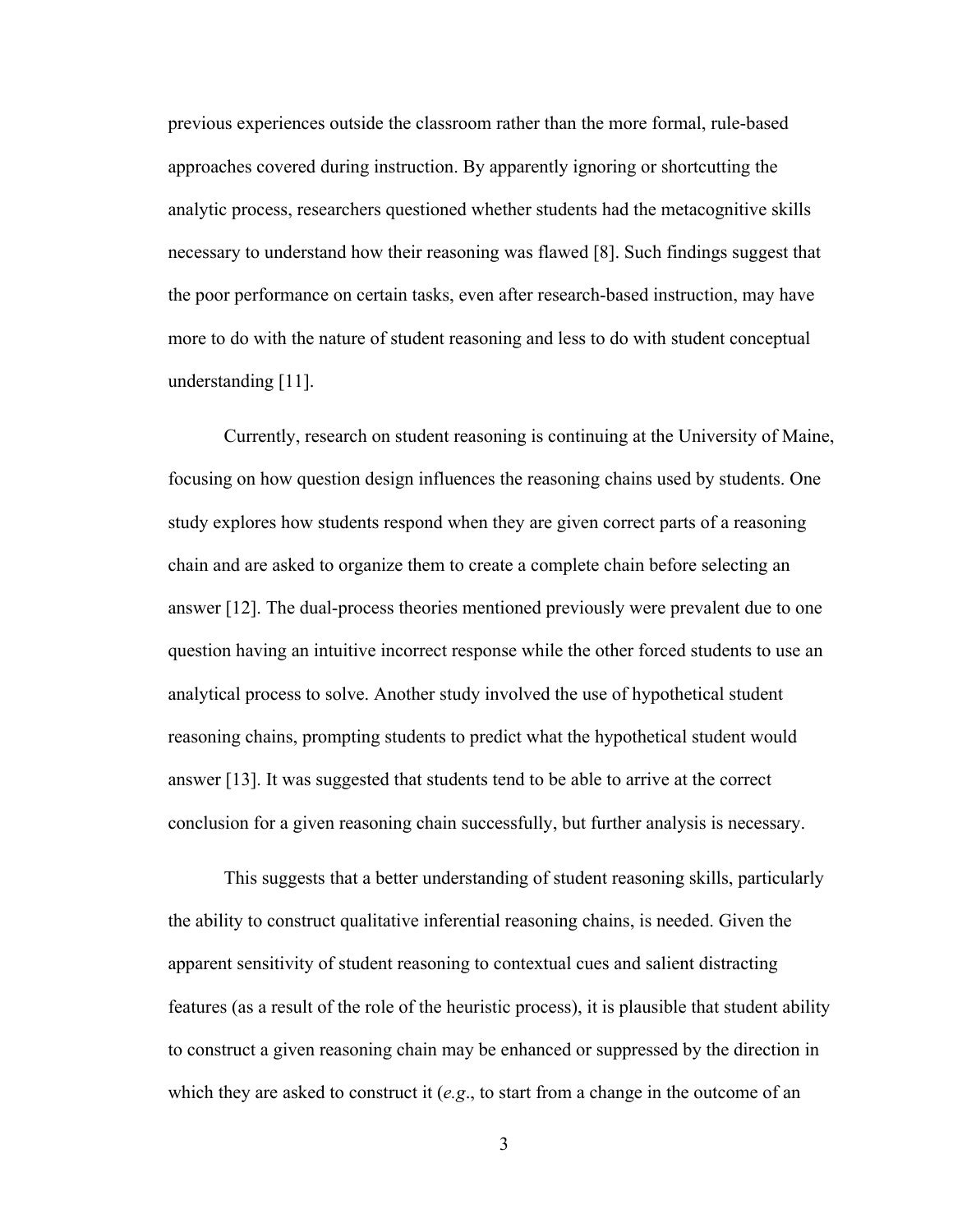previous experiences outside the classroom rather than the more formal, rule-based approaches covered during instruction. By apparently ignoring or shortcutting the analytic process, researchers questioned whether students had the metacognitive skills necessary to understand how their reasoning was flawed [8]. Such findings suggest that the poor performance on certain tasks, even after research-based instruction, may have more to do with the nature of student reasoning and less to do with student conceptual understanding [11].

Currently, research on student reasoning is continuing at the University of Maine, focusing on how question design influences the reasoning chains used by students. One study explores how students respond when they are given correct parts of a reasoning chain and are asked to organize them to create a complete chain before selecting an answer [12]. The dual-process theories mentioned previously were prevalent due to one question having an intuitive incorrect response while the other forced students to use an analytical process to solve. Another study involved the use of hypothetical student reasoning chains, prompting students to predict what the hypothetical student would answer [13]. It was suggested that students tend to be able to arrive at the correct conclusion for a given reasoning chain successfully, but further analysis is necessary.

This suggests that a better understanding of student reasoning skills, particularly the ability to construct qualitative inferential reasoning chains, is needed. Given the apparent sensitivity of student reasoning to contextual cues and salient distracting features (as a result of the role of the heuristic process), it is plausible that student ability to construct a given reasoning chain may be enhanced or suppressed by the direction in which they are asked to construct it (*e.g*., to start from a change in the outcome of an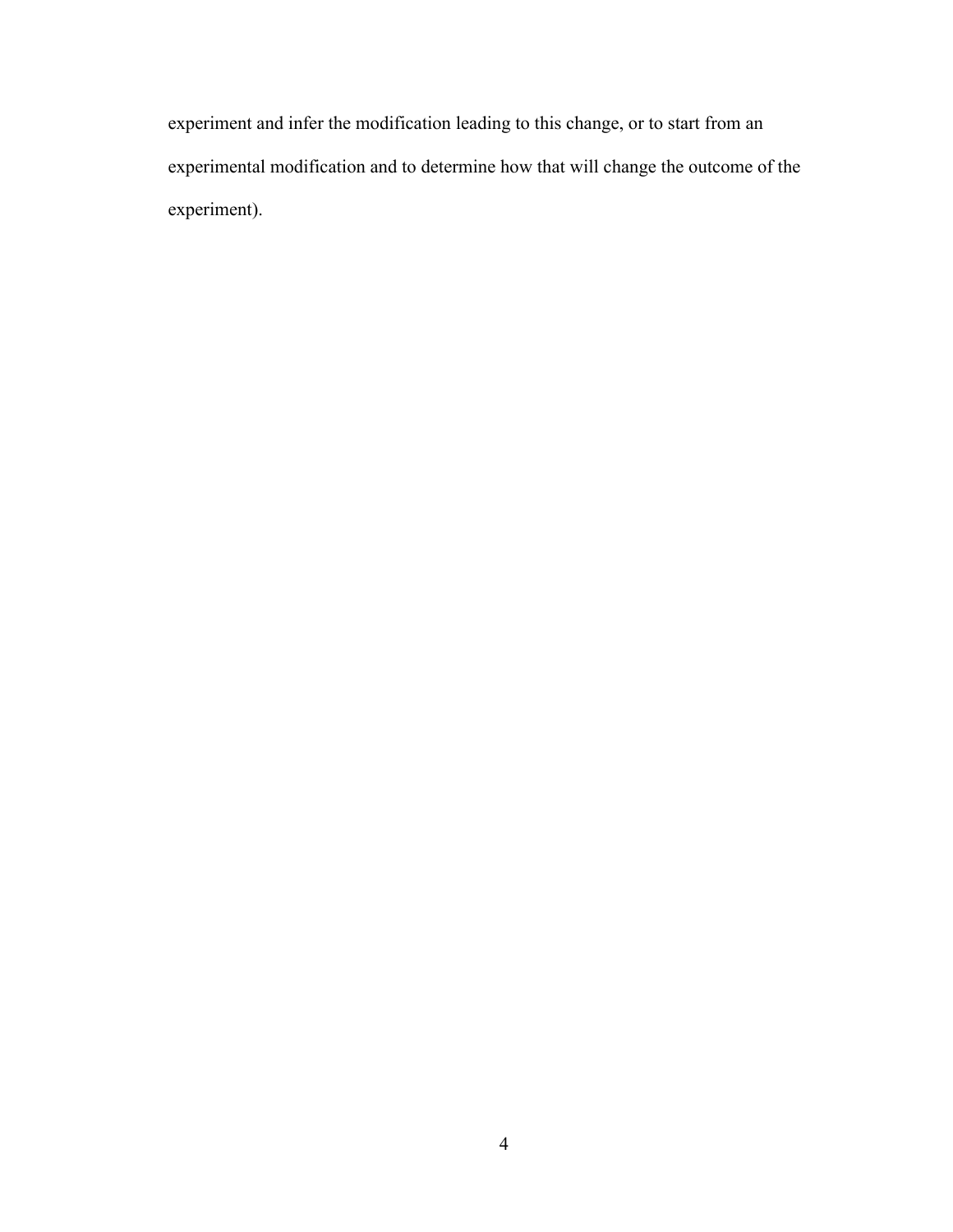experiment and infer the modification leading to this change, or to start from an experimental modification and to determine how that will change the outcome of the experiment).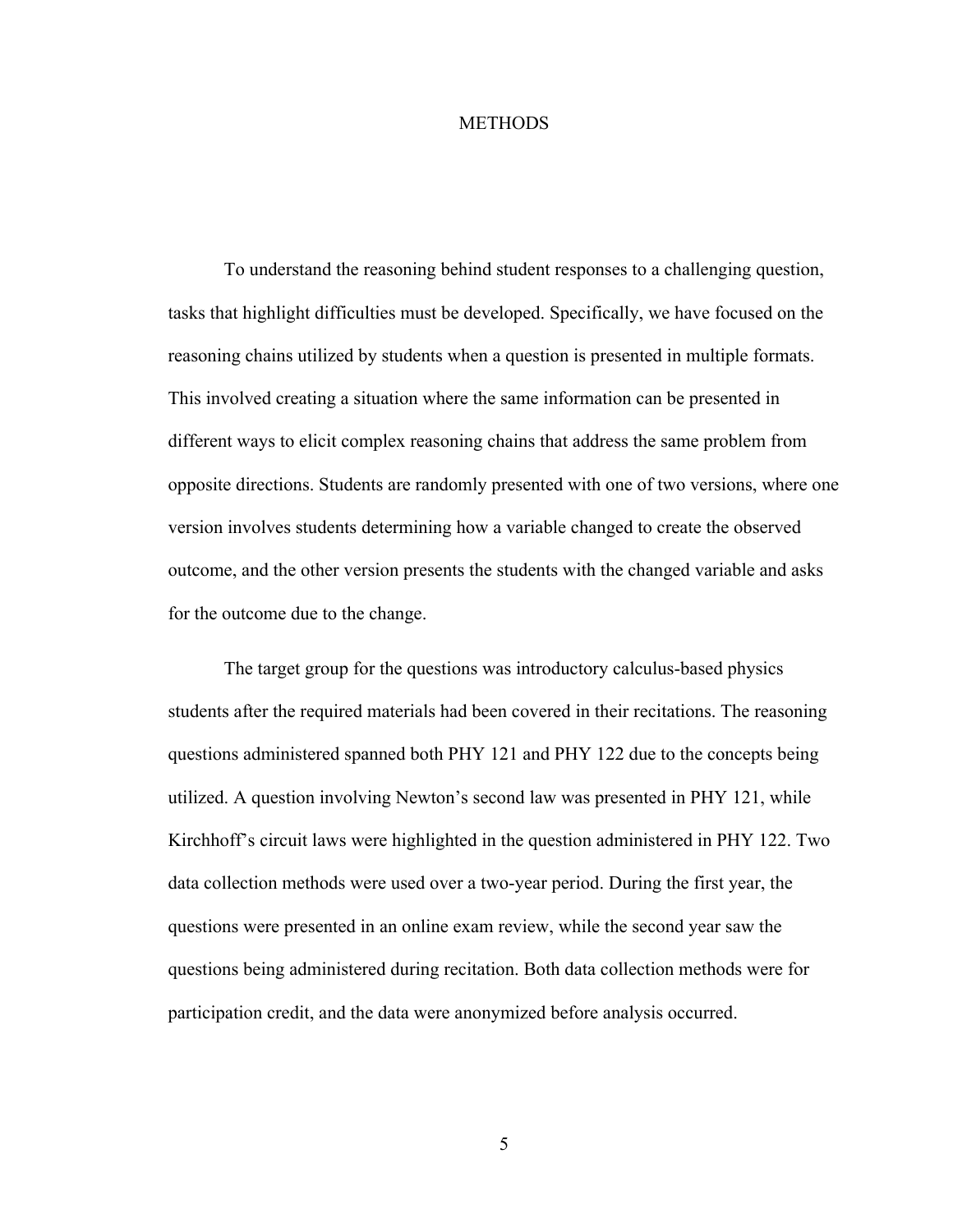#### **METHODS**

To understand the reasoning behind student responses to a challenging question, tasks that highlight difficulties must be developed. Specifically, we have focused on the reasoning chains utilized by students when a question is presented in multiple formats. This involved creating a situation where the same information can be presented in different ways to elicit complex reasoning chains that address the same problem from opposite directions. Students are randomly presented with one of two versions, where one version involves students determining how a variable changed to create the observed outcome, and the other version presents the students with the changed variable and asks for the outcome due to the change.

The target group for the questions was introductory calculus-based physics students after the required materials had been covered in their recitations. The reasoning questions administered spanned both PHY 121 and PHY 122 due to the concepts being utilized. A question involving Newton's second law was presented in PHY 121, while Kirchhoff's circuit laws were highlighted in the question administered in PHY 122. Two data collection methods were used over a two-year period. During the first year, the questions were presented in an online exam review, while the second year saw the questions being administered during recitation. Both data collection methods were for participation credit, and the data were anonymized before analysis occurred.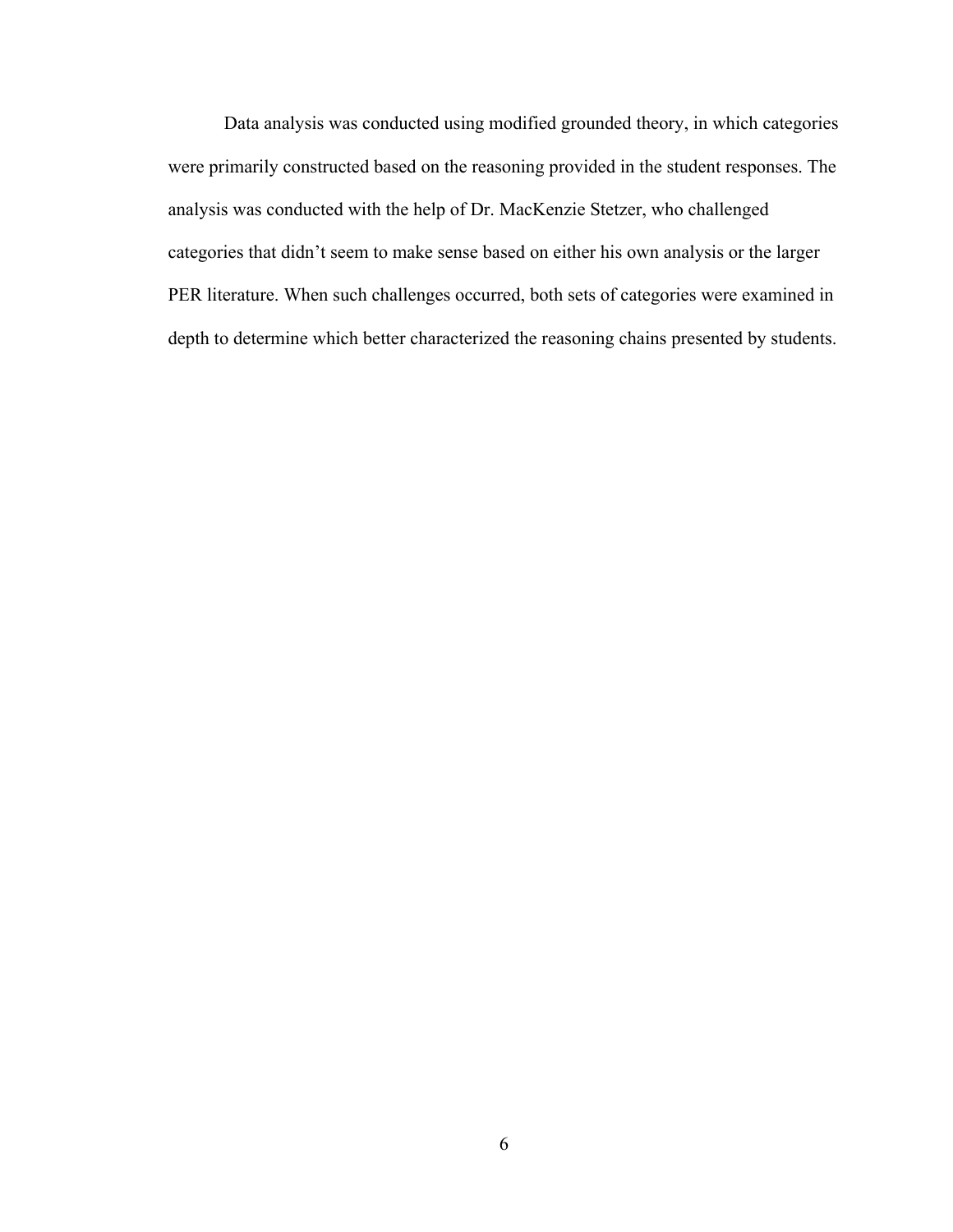Data analysis was conducted using modified grounded theory, in which categories were primarily constructed based on the reasoning provided in the student responses. The analysis was conducted with the help of Dr. MacKenzie Stetzer, who challenged categories that didn't seem to make sense based on either his own analysis or the larger PER literature. When such challenges occurred, both sets of categories were examined in depth to determine which better characterized the reasoning chains presented by students.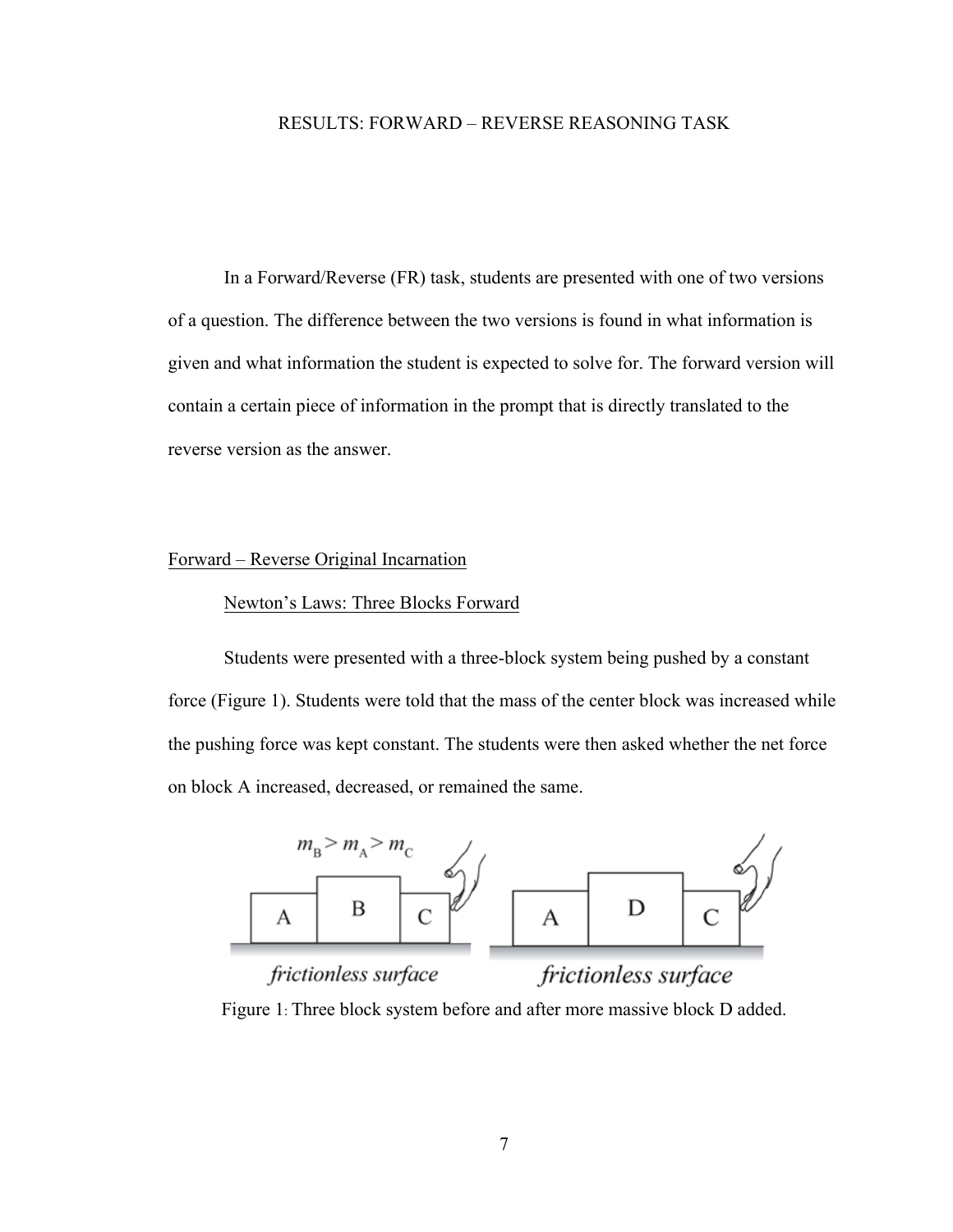#### RESULTS: FORWARD – REVERSE REASONING TASK

In a Forward/Reverse (FR) task, students are presented with one of two versions of a question. The difference between the two versions is found in what information is given and what information the student is expected to solve for. The forward version will contain a certain piece of information in the prompt that is directly translated to the reverse version as the answer.

#### Forward – Reverse Original Incarnation

# Newton's Laws: Three Blocks Forward

Students were presented with a three-block system being pushed by a constant force (Figure 1). Students were told that the mass of the center block was increased while the pushing force was kept constant. The students were then asked whether the net force on block A increased, decreased, or remained the same.



Figure 1: Three block system before and after more massive block D added.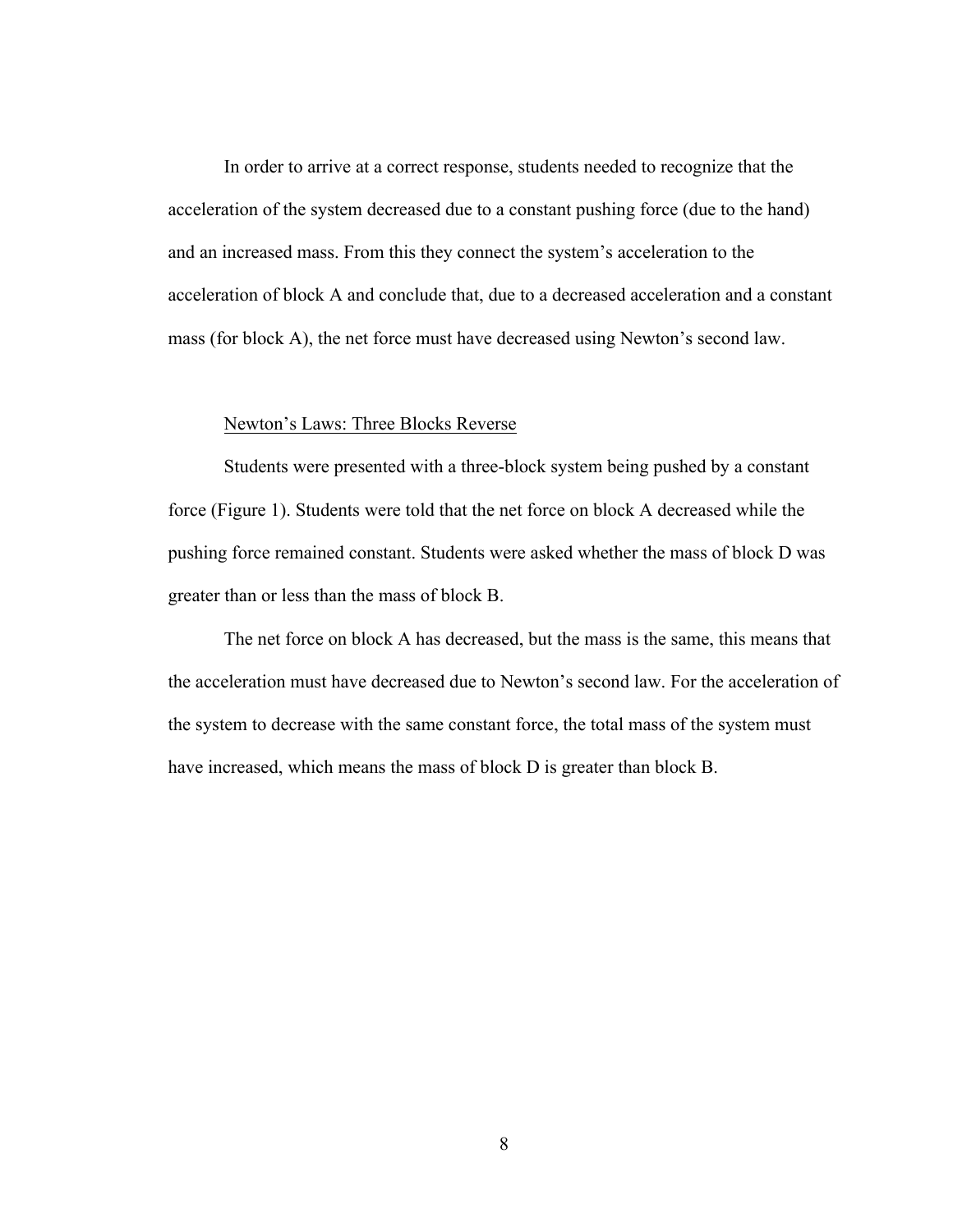In order to arrive at a correct response, students needed to recognize that the acceleration of the system decreased due to a constant pushing force (due to the hand) and an increased mass. From this they connect the system's acceleration to the acceleration of block A and conclude that, due to a decreased acceleration and a constant mass (for block A), the net force must have decreased using Newton's second law.

#### Newton's Laws: Three Blocks Reverse

Students were presented with a three-block system being pushed by a constant force (Figure 1). Students were told that the net force on block A decreased while the pushing force remained constant. Students were asked whether the mass of block D was greater than or less than the mass of block B.

The net force on block A has decreased, but the mass is the same, this means that the acceleration must have decreased due to Newton's second law. For the acceleration of the system to decrease with the same constant force, the total mass of the system must have increased, which means the mass of block D is greater than block B.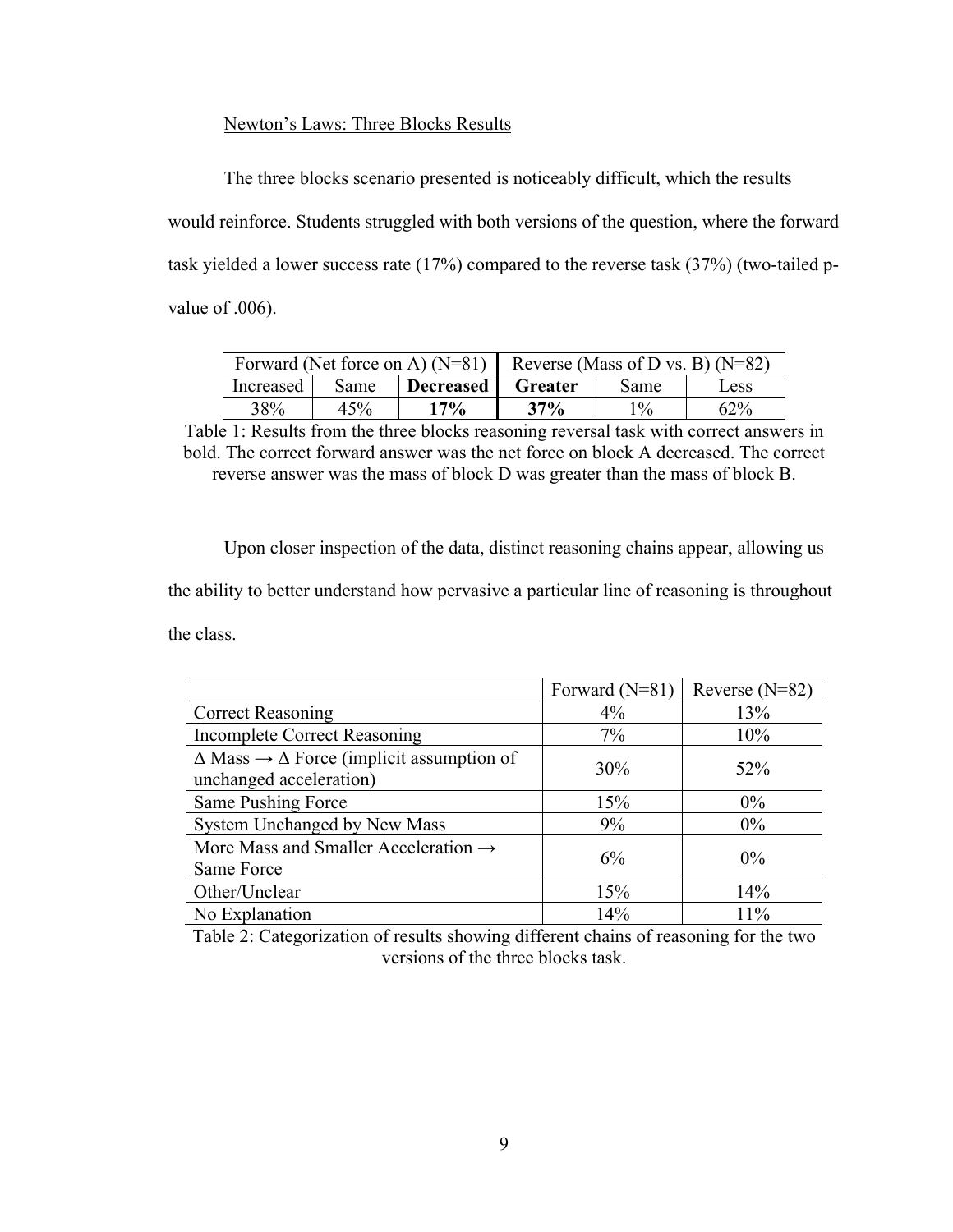#### Newton's Laws: Three Blocks Results

The three blocks scenario presented is noticeably difficult, which the results would reinforce. Students struggled with both versions of the question, where the forward task yielded a lower success rate (17%) compared to the reverse task (37%) (two-tailed pvalue of .006).

|           | Forward (Net force on A) $(N=81)$<br>Reverse (Mass of D vs. B) $(N=82)$ |           |         |       |               |
|-----------|-------------------------------------------------------------------------|-----------|---------|-------|---------------|
| Increased | Same                                                                    | Decreased | Greater | Same  | $_{\rm LESS}$ |
| 38%       | 45%                                                                     | 17%       | 37%     | $1\%$ | $62\%$        |

Table 1: Results from the three blocks reasoning reversal task with correct answers in bold. The correct forward answer was the net force on block A decreased. The correct reverse answer was the mass of block D was greater than the mass of block B.

Upon closer inspection of the data, distinct reasoning chains appear, allowing us the ability to better understand how pervasive a particular line of reasoning is throughout the class.

|                                                                                             | Forward (N=81) | Reverse $(N=82)$ |
|---------------------------------------------------------------------------------------------|----------------|------------------|
| <b>Correct Reasoning</b>                                                                    | $4\%$          | 13%              |
| <b>Incomplete Correct Reasoning</b>                                                         | 7%             | 10%              |
| $\Delta$ Mass $\rightarrow \Delta$ Force (implicit assumption of<br>unchanged acceleration) | 30%            | 52%              |
| Same Pushing Force                                                                          | 15%            | $0\%$            |
| System Unchanged by New Mass                                                                | 9%             | $0\%$            |
| More Mass and Smaller Acceleration $\rightarrow$<br>Same Force                              | 6%             | $0\%$            |
| Other/Unclear                                                                               | 15%            | 14%              |
| No Explanation                                                                              | 14%            | 11%              |

Table 2: Categorization of results showing different chains of reasoning for the two versions of the three blocks task.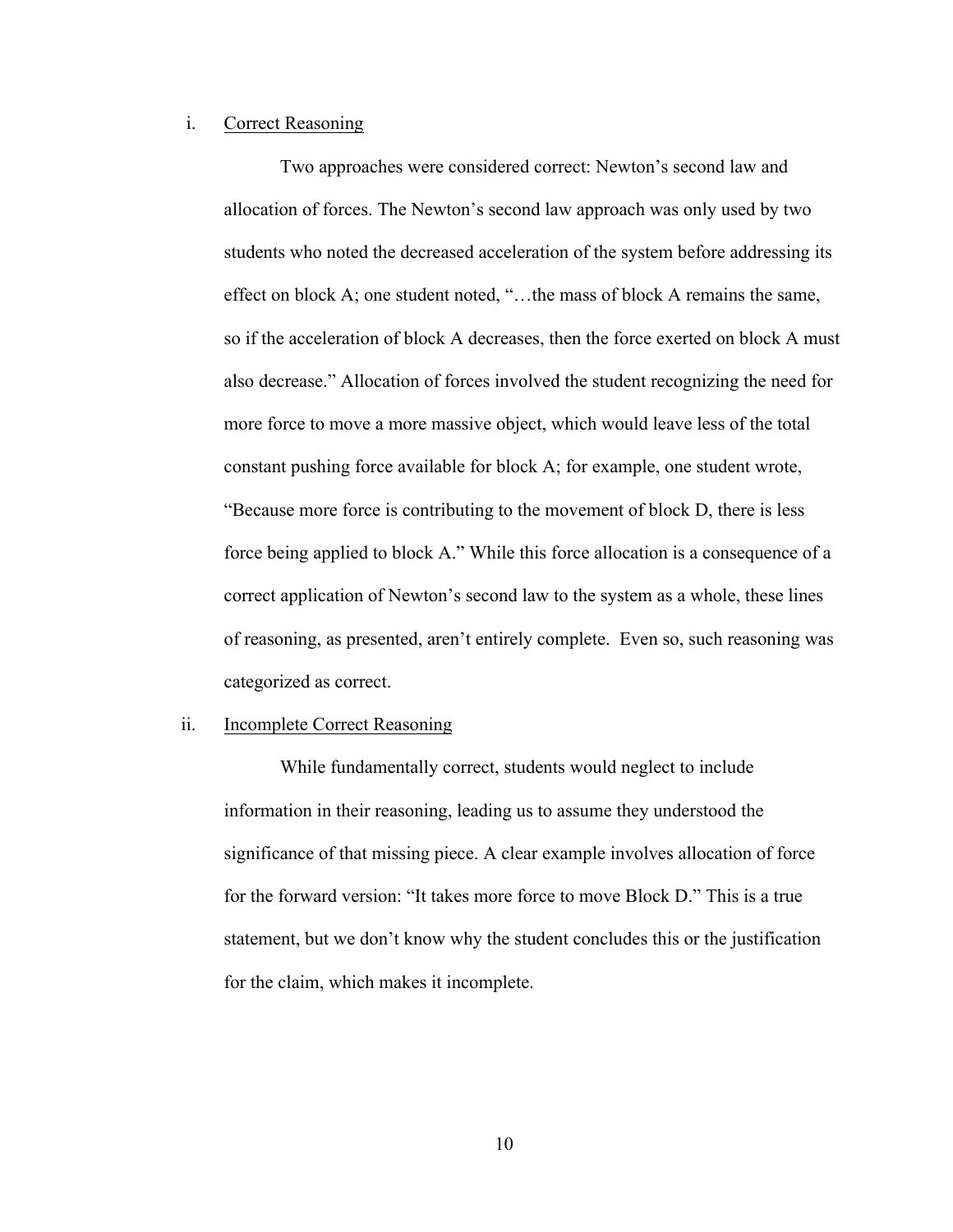#### i. Correct Reasoning

Two approaches were considered correct: Newton's second law and allocation of forces. The Newton's second law approach was only used by two students who noted the decreased acceleration of the system before addressing its effect on block A; one student noted, "…the mass of block A remains the same, so if the acceleration of block A decreases, then the force exerted on block A must also decrease." Allocation of forces involved the student recognizing the need for more force to move a more massive object, which would leave less of the total constant pushing force available for block A; for example, one student wrote, "Because more force is contributing to the movement of block D, there is less force being applied to block A." While this force allocation is a consequence of a correct application of Newton's second law to the system as a whole, these lines of reasoning, as presented, aren't entirely complete. Even so, such reasoning was categorized as correct.

#### ii. Incomplete Correct Reasoning

While fundamentally correct, students would neglect to include information in their reasoning, leading us to assume they understood the significance of that missing piece. A clear example involves allocation of force for the forward version: "It takes more force to move Block D." This is a true statement, but we don't know why the student concludes this or the justification for the claim, which makes it incomplete.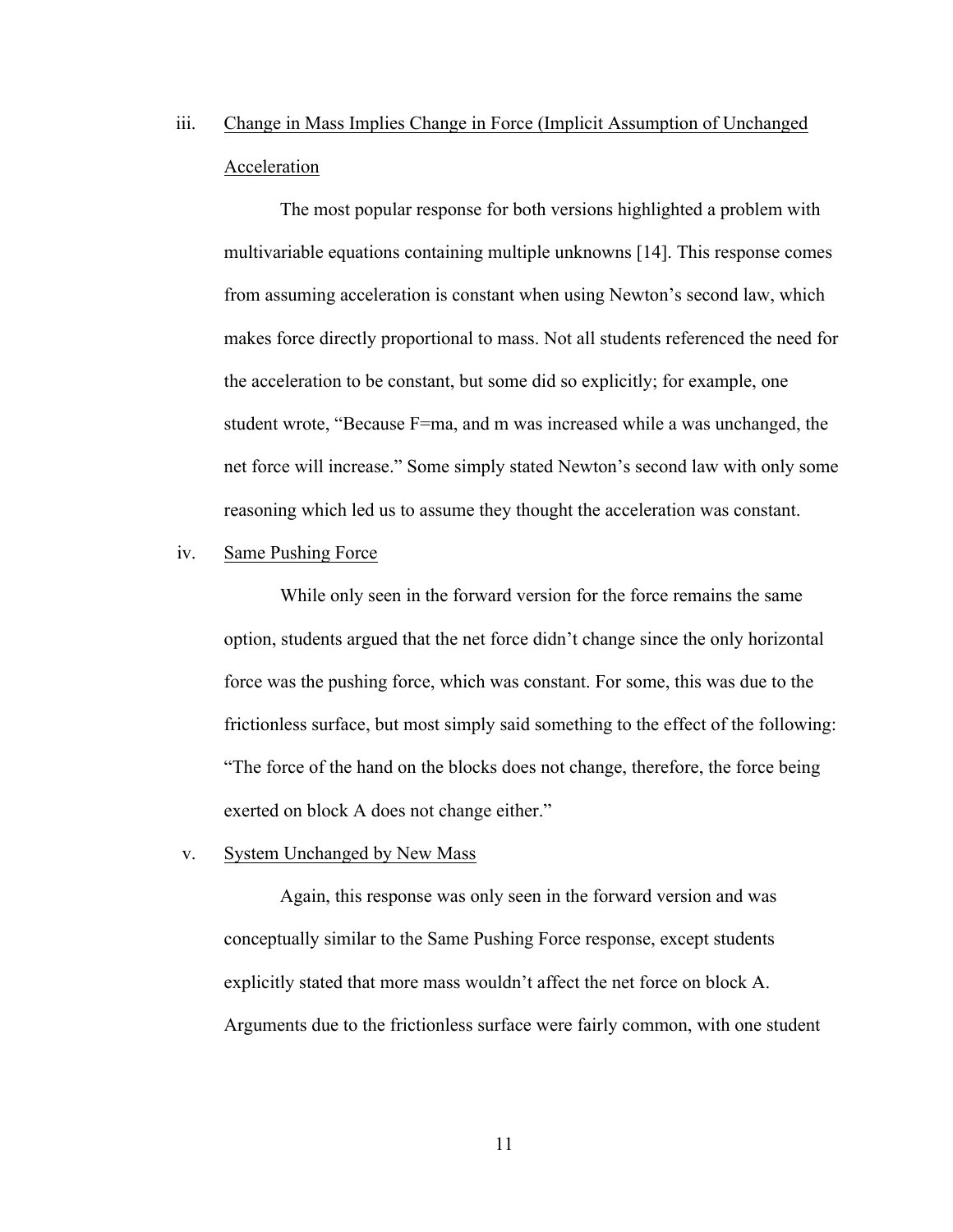iii. Change in Mass Implies Change in Force (Implicit Assumption of Unchanged Acceleration

The most popular response for both versions highlighted a problem with multivariable equations containing multiple unknowns [14]. This response comes from assuming acceleration is constant when using Newton's second law, which makes force directly proportional to mass. Not all students referenced the need for the acceleration to be constant, but some did so explicitly; for example, one student wrote, "Because F=ma, and m was increased while a was unchanged, the net force will increase." Some simply stated Newton's second law with only some reasoning which led us to assume they thought the acceleration was constant.

#### iv. Same Pushing Force

While only seen in the forward version for the force remains the same option, students argued that the net force didn't change since the only horizontal force was the pushing force, which was constant. For some, this was due to the frictionless surface, but most simply said something to the effect of the following: "The force of the hand on the blocks does not change, therefore, the force being exerted on block A does not change either."

#### v. System Unchanged by New Mass

Again, this response was only seen in the forward version and was conceptually similar to the Same Pushing Force response, except students explicitly stated that more mass wouldn't affect the net force on block A. Arguments due to the frictionless surface were fairly common, with one student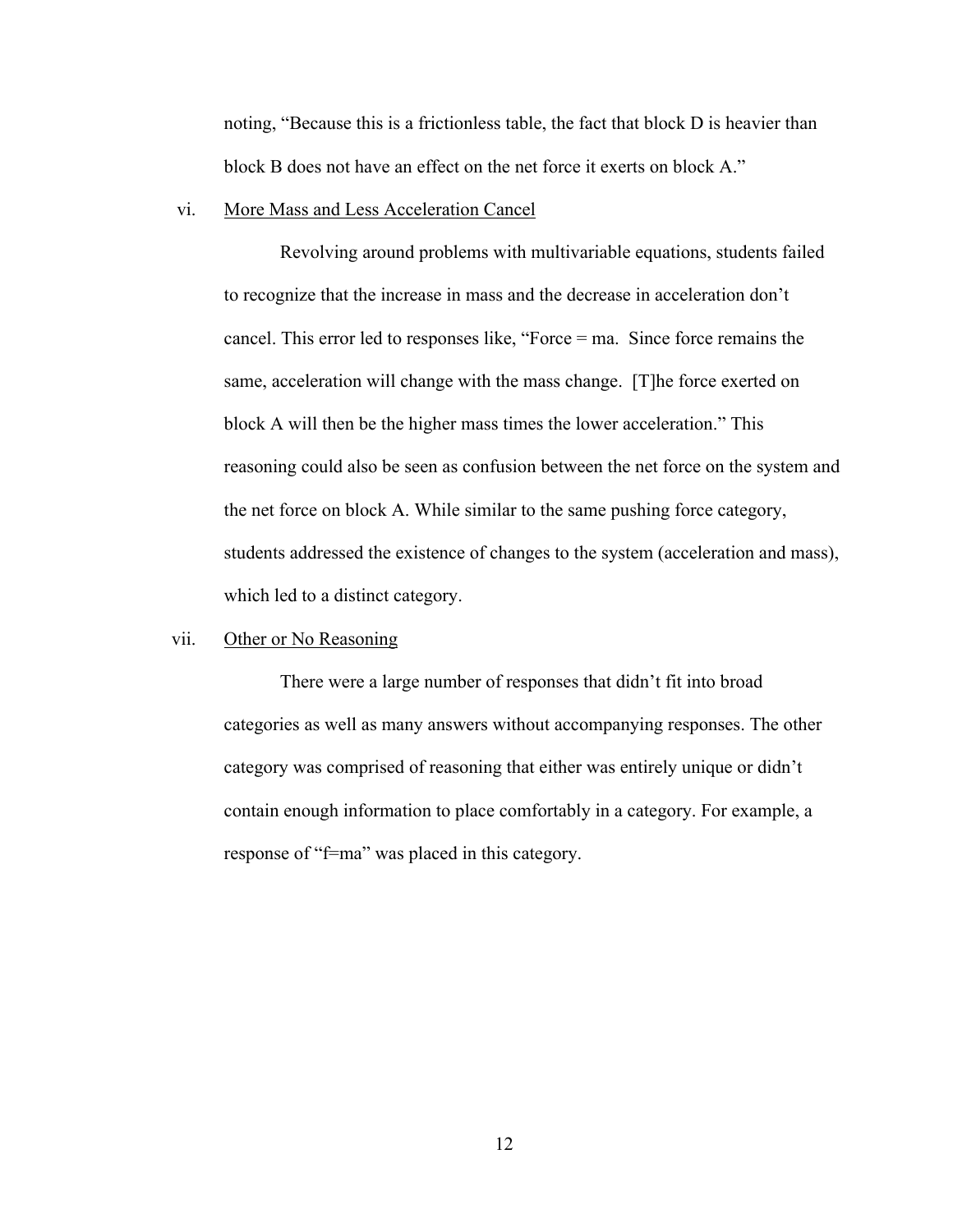noting, "Because this is a frictionless table, the fact that block D is heavier than block B does not have an effect on the net force it exerts on block A."

#### vi. More Mass and Less Acceleration Cancel

Revolving around problems with multivariable equations, students failed to recognize that the increase in mass and the decrease in acceleration don't cancel. This error led to responses like, "Force = ma. Since force remains the same, acceleration will change with the mass change. [T]he force exerted on block A will then be the higher mass times the lower acceleration." This reasoning could also be seen as confusion between the net force on the system and the net force on block A. While similar to the same pushing force category, students addressed the existence of changes to the system (acceleration and mass), which led to a distinct category.

## vii. Other or No Reasoning

There were a large number of responses that didn't fit into broad categories as well as many answers without accompanying responses. The other category was comprised of reasoning that either was entirely unique or didn't contain enough information to place comfortably in a category. For example, a response of "f=ma" was placed in this category.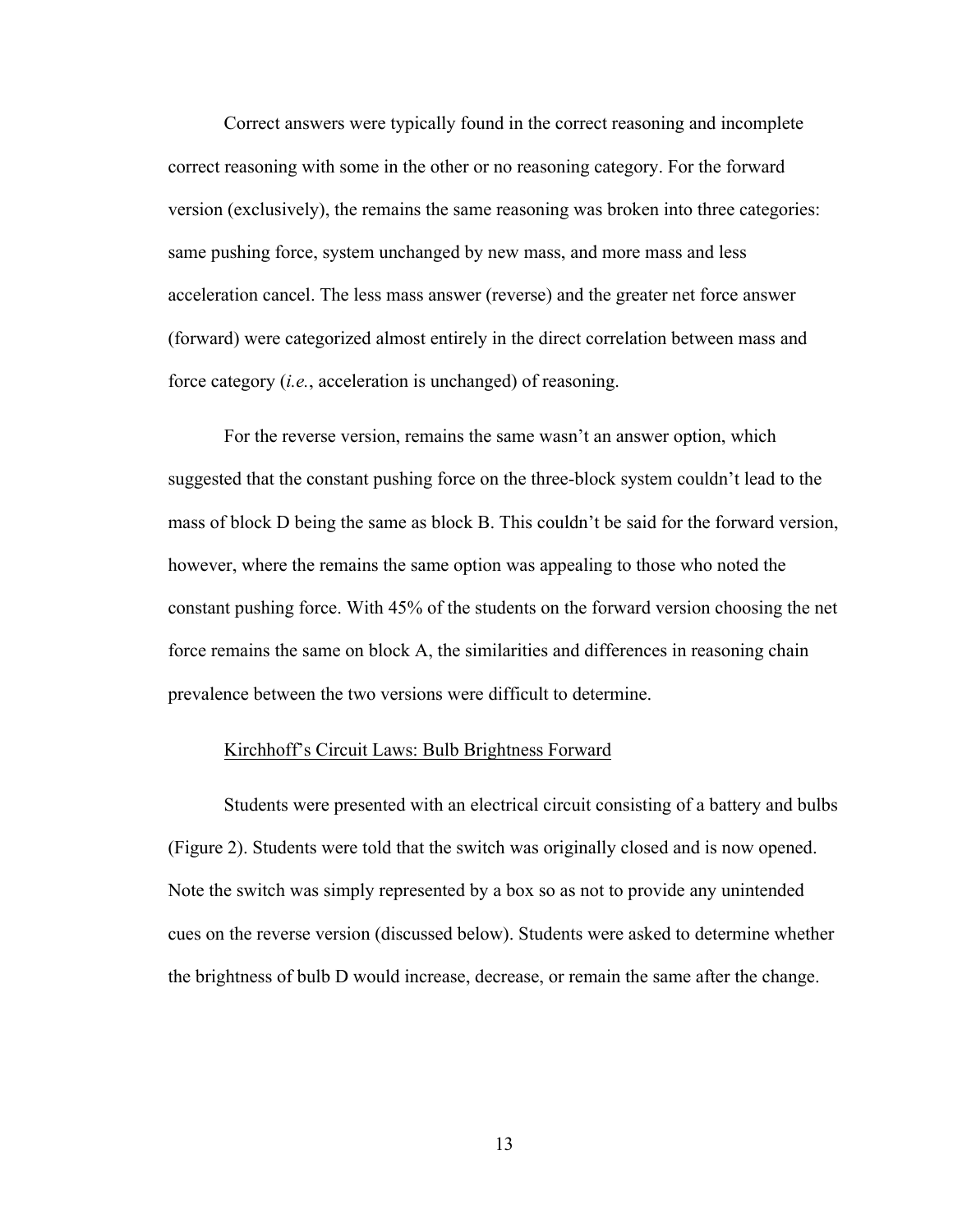Correct answers were typically found in the correct reasoning and incomplete correct reasoning with some in the other or no reasoning category. For the forward version (exclusively), the remains the same reasoning was broken into three categories: same pushing force, system unchanged by new mass, and more mass and less acceleration cancel. The less mass answer (reverse) and the greater net force answer (forward) were categorized almost entirely in the direct correlation between mass and force category (*i.e.*, acceleration is unchanged) of reasoning.

For the reverse version, remains the same wasn't an answer option, which suggested that the constant pushing force on the three-block system couldn't lead to the mass of block D being the same as block B. This couldn't be said for the forward version, however, where the remains the same option was appealing to those who noted the constant pushing force. With 45% of the students on the forward version choosing the net force remains the same on block A, the similarities and differences in reasoning chain prevalence between the two versions were difficult to determine.

#### Kirchhoff's Circuit Laws: Bulb Brightness Forward

Students were presented with an electrical circuit consisting of a battery and bulbs (Figure 2). Students were told that the switch was originally closed and is now opened. Note the switch was simply represented by a box so as not to provide any unintended cues on the reverse version (discussed below). Students were asked to determine whether the brightness of bulb D would increase, decrease, or remain the same after the change.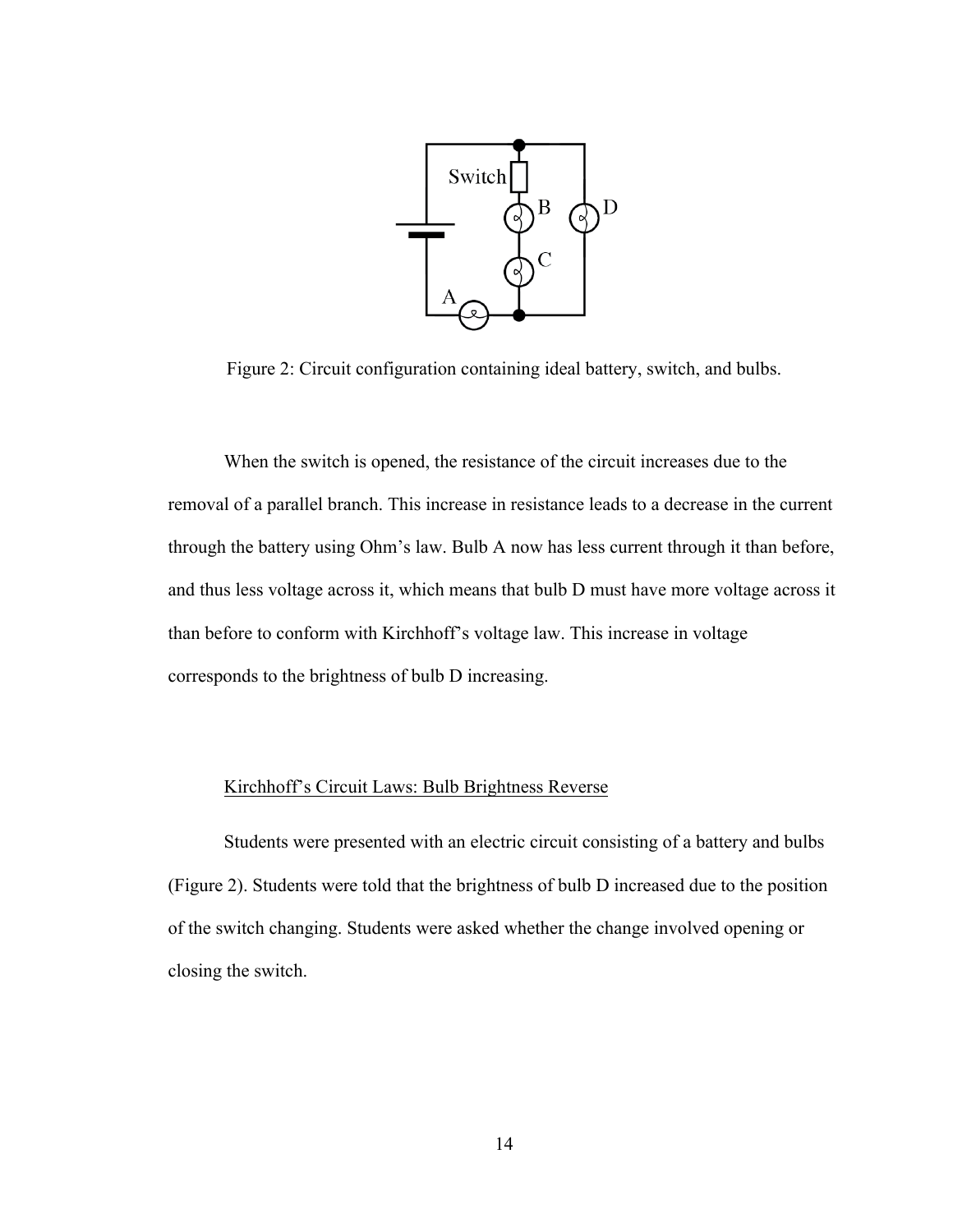

Figure 2: Circuit configuration containing ideal battery, switch, and bulbs.

When the switch is opened, the resistance of the circuit increases due to the removal of a parallel branch. This increase in resistance leads to a decrease in the current through the battery using Ohm's law. Bulb A now has less current through it than before, and thus less voltage across it, which means that bulb D must have more voltage across it than before to conform with Kirchhoff's voltage law. This increase in voltage corresponds to the brightness of bulb D increasing.

# Kirchhoff's Circuit Laws: Bulb Brightness Reverse

Students were presented with an electric circuit consisting of a battery and bulbs (Figure 2). Students were told that the brightness of bulb D increased due to the position of the switch changing. Students were asked whether the change involved opening or closing the switch.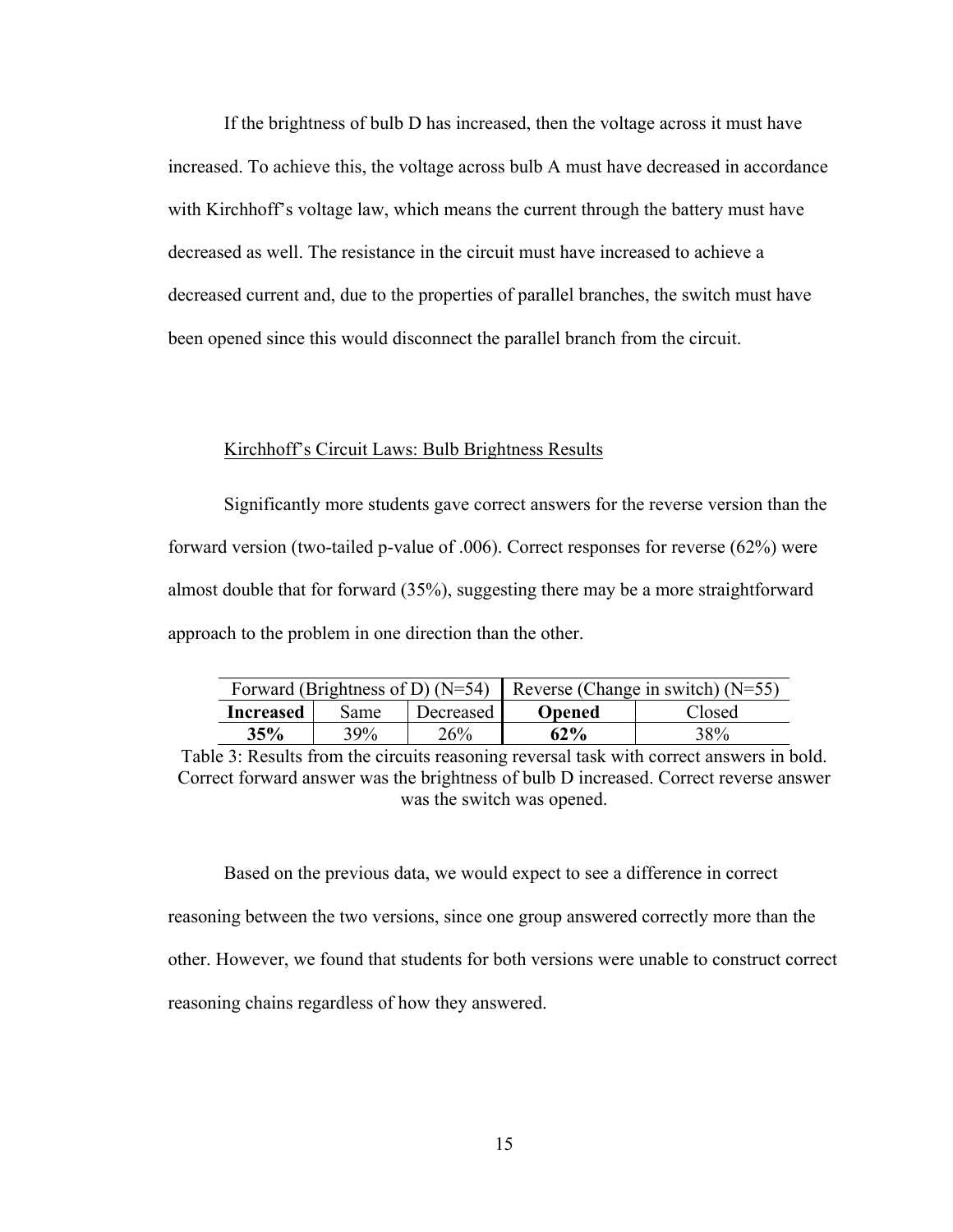If the brightness of bulb D has increased, then the voltage across it must have increased. To achieve this, the voltage across bulb A must have decreased in accordance with Kirchhoff's voltage law, which means the current through the battery must have decreased as well. The resistance in the circuit must have increased to achieve a decreased current and, due to the properties of parallel branches, the switch must have been opened since this would disconnect the parallel branch from the circuit.

#### Kirchhoff's Circuit Laws: Bulb Brightness Results

Significantly more students gave correct answers for the reverse version than the forward version (two-tailed p-value of .006). Correct responses for reverse (62%) were almost double that for forward (35%), suggesting there may be a more straightforward approach to the problem in one direction than the other.

| Forward (Brightness of D) (N=54) Reverse (Change in switch) (N=55) |            |           |               |        |
|--------------------------------------------------------------------|------------|-----------|---------------|--------|
| Increased                                                          | Same       | Decreased | <b>Opened</b> | Closed |
| 35%                                                                | <b>39%</b> | 26%       | $62\%$        | 38%    |

Table 3: Results from the circuits reasoning reversal task with correct answers in bold. Correct forward answer was the brightness of bulb D increased. Correct reverse answer was the switch was opened.

Based on the previous data, we would expect to see a difference in correct reasoning between the two versions, since one group answered correctly more than the other. However, we found that students for both versions were unable to construct correct reasoning chains regardless of how they answered.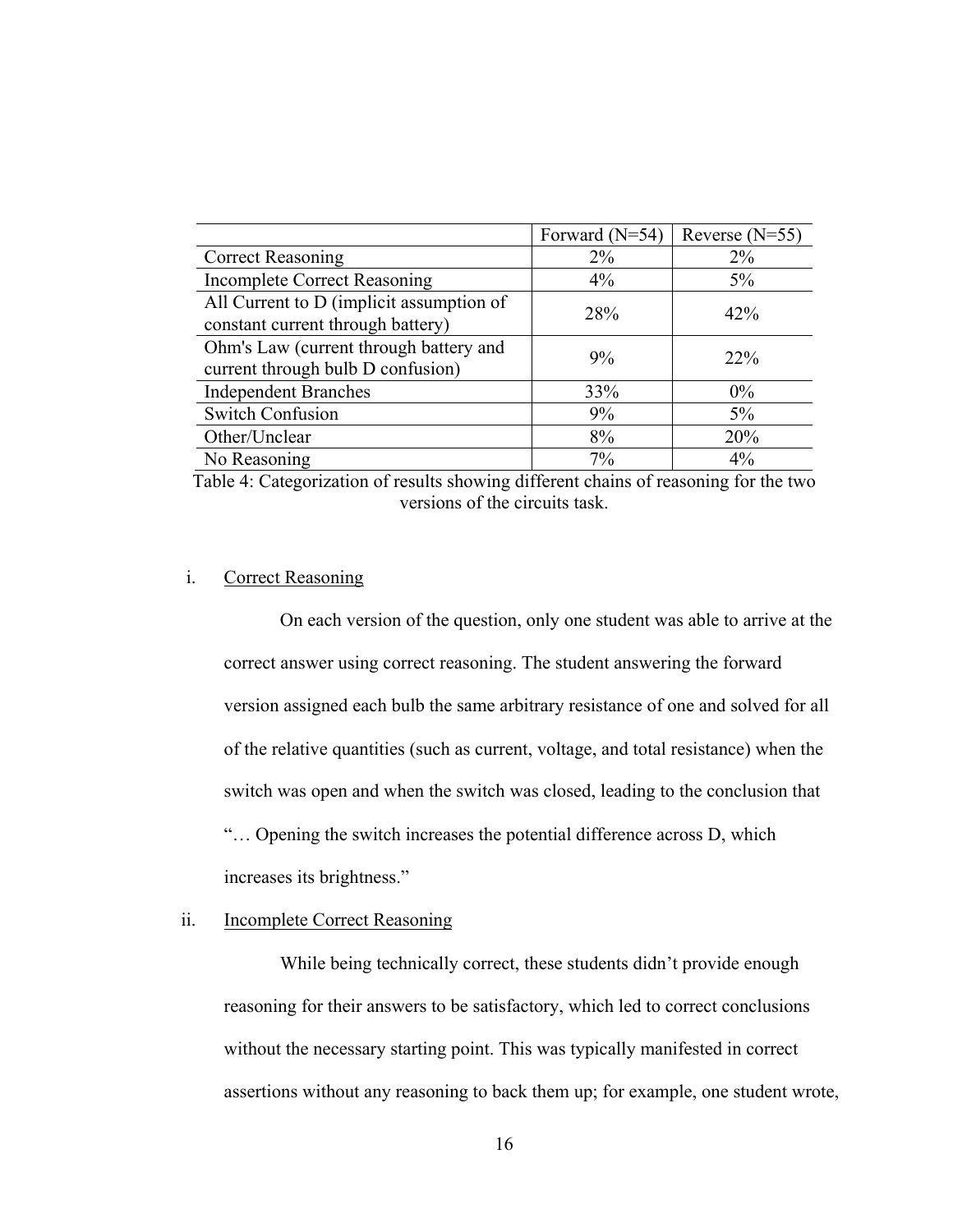|                                                                               | Forward $(N=54)$ | Reverse $(N=55)$ |
|-------------------------------------------------------------------------------|------------------|------------------|
| <b>Correct Reasoning</b>                                                      | $2\%$            | $2\%$            |
| <b>Incomplete Correct Reasoning</b>                                           | 4%               | $5\%$            |
| All Current to D (implicit assumption of<br>constant current through battery) | 28%              | 42%              |
| Ohm's Law (current through battery and<br>current through bulb D confusion)   | 9%               | $22\%$           |
| <b>Independent Branches</b>                                                   | 33%              | $0\%$            |
| <b>Switch Confusion</b>                                                       | 9%               | $5\%$            |
| Other/Unclear                                                                 | 8%               | 20%              |
| No Reasoning                                                                  | $7\%$            | $4\%$            |

Table 4: Categorization of results showing different chains of reasoning for the two versions of the circuits task.

#### i. Correct Reasoning

On each version of the question, only one student was able to arrive at the correct answer using correct reasoning. The student answering the forward version assigned each bulb the same arbitrary resistance of one and solved for all of the relative quantities (such as current, voltage, and total resistance) when the switch was open and when the switch was closed, leading to the conclusion that "… Opening the switch increases the potential difference across D, which increases its brightness."

# ii. Incomplete Correct Reasoning

While being technically correct, these students didn't provide enough reasoning for their answers to be satisfactory, which led to correct conclusions without the necessary starting point. This was typically manifested in correct assertions without any reasoning to back them up; for example, one student wrote,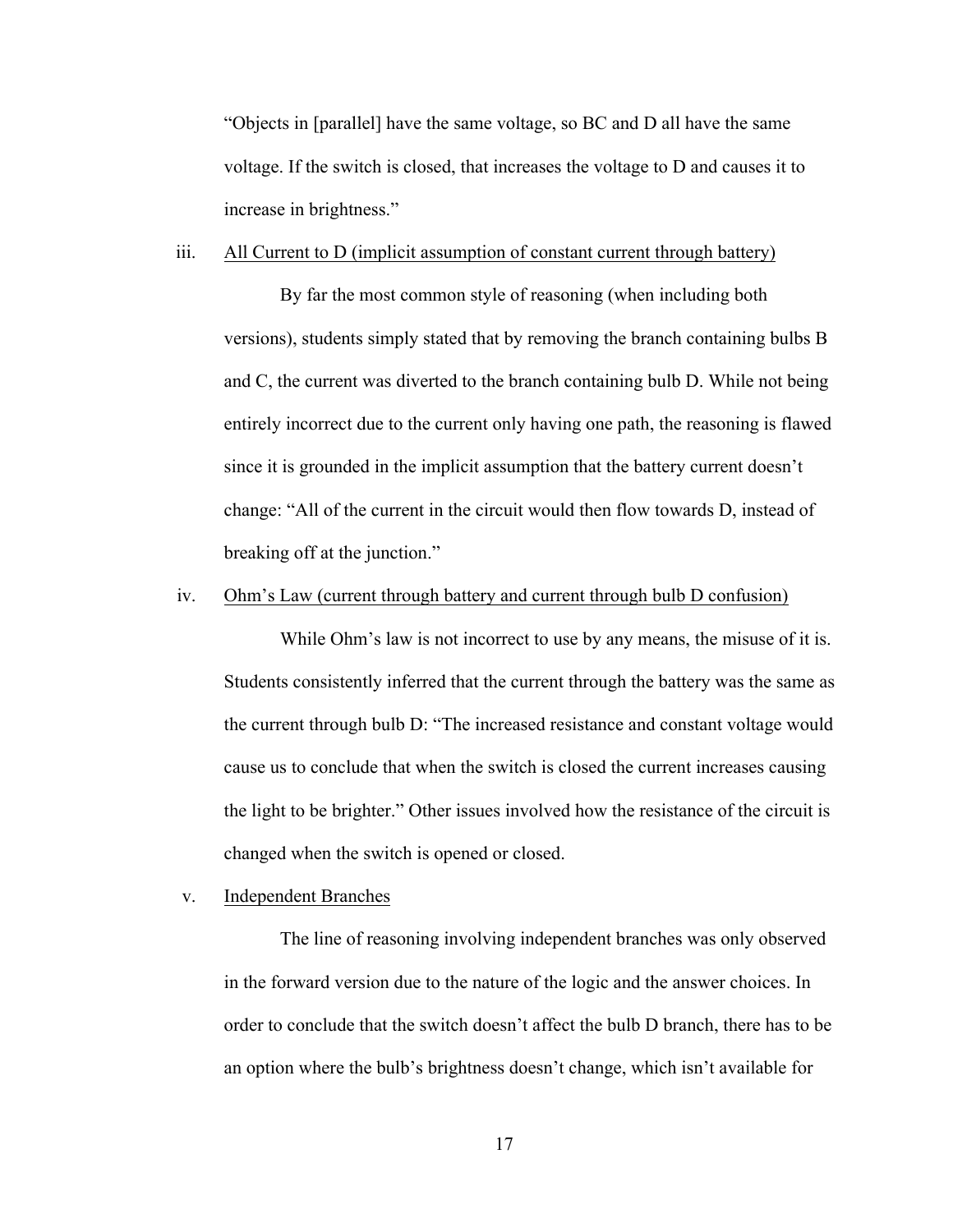"Objects in [parallel] have the same voltage, so BC and D all have the same voltage. If the switch is closed, that increases the voltage to D and causes it to increase in brightness."

#### iii. All Current to D (implicit assumption of constant current through battery)

By far the most common style of reasoning (when including both versions), students simply stated that by removing the branch containing bulbs B and C, the current was diverted to the branch containing bulb D. While not being entirely incorrect due to the current only having one path, the reasoning is flawed since it is grounded in the implicit assumption that the battery current doesn't change: "All of the current in the circuit would then flow towards D, instead of breaking off at the junction."

#### iv. Ohm's Law (current through battery and current through bulb D confusion)

While Ohm's law is not incorrect to use by any means, the misuse of it is. Students consistently inferred that the current through the battery was the same as the current through bulb D: "The increased resistance and constant voltage would cause us to conclude that when the switch is closed the current increases causing the light to be brighter." Other issues involved how the resistance of the circuit is changed when the switch is opened or closed.

#### v. Independent Branches

The line of reasoning involving independent branches was only observed in the forward version due to the nature of the logic and the answer choices. In order to conclude that the switch doesn't affect the bulb D branch, there has to be an option where the bulb's brightness doesn't change, which isn't available for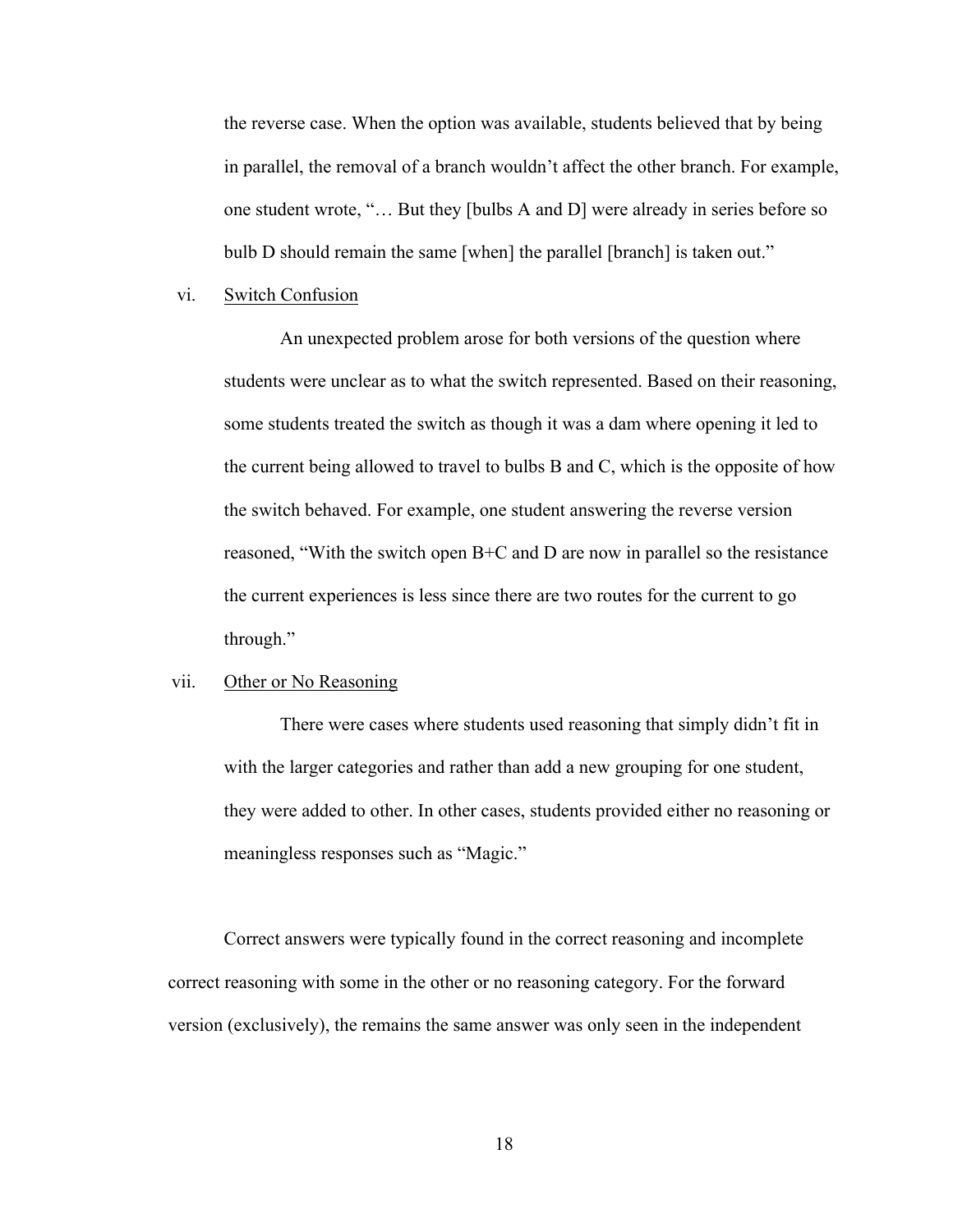the reverse case. When the option was available, students believed that by being in parallel, the removal of a branch wouldn't affect the other branch. For example, one student wrote, "… But they [bulbs A and D] were already in series before so bulb D should remain the same [when] the parallel [branch] is taken out."

#### vi. Switch Confusion

An unexpected problem arose for both versions of the question where students were unclear as to what the switch represented. Based on their reasoning, some students treated the switch as though it was a dam where opening it led to the current being allowed to travel to bulbs B and C, which is the opposite of how the switch behaved. For example, one student answering the reverse version reasoned, "With the switch open B+C and D are now in parallel so the resistance the current experiences is less since there are two routes for the current to go through."

#### vii. Other or No Reasoning

There were cases where students used reasoning that simply didn't fit in with the larger categories and rather than add a new grouping for one student, they were added to other. In other cases, students provided either no reasoning or meaningless responses such as "Magic."

Correct answers were typically found in the correct reasoning and incomplete correct reasoning with some in the other or no reasoning category. For the forward version (exclusively), the remains the same answer was only seen in the independent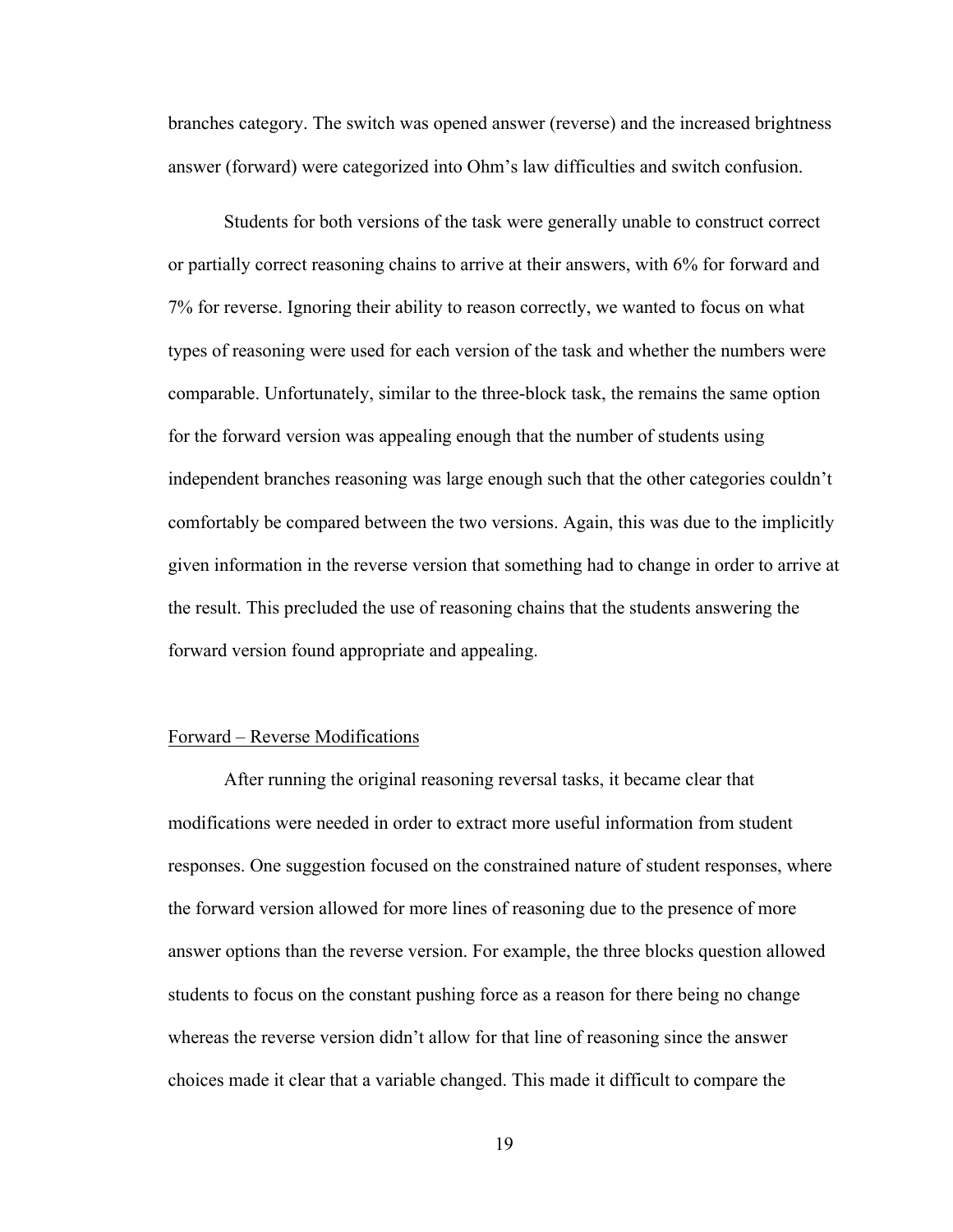branches category. The switch was opened answer (reverse) and the increased brightness answer (forward) were categorized into Ohm's law difficulties and switch confusion.

Students for both versions of the task were generally unable to construct correct or partially correct reasoning chains to arrive at their answers, with 6% for forward and 7% for reverse. Ignoring their ability to reason correctly, we wanted to focus on what types of reasoning were used for each version of the task and whether the numbers were comparable. Unfortunately, similar to the three-block task, the remains the same option for the forward version was appealing enough that the number of students using independent branches reasoning was large enough such that the other categories couldn't comfortably be compared between the two versions. Again, this was due to the implicitly given information in the reverse version that something had to change in order to arrive at the result. This precluded the use of reasoning chains that the students answering the forward version found appropriate and appealing.

#### Forward – Reverse Modifications

After running the original reasoning reversal tasks, it became clear that modifications were needed in order to extract more useful information from student responses. One suggestion focused on the constrained nature of student responses, where the forward version allowed for more lines of reasoning due to the presence of more answer options than the reverse version. For example, the three blocks question allowed students to focus on the constant pushing force as a reason for there being no change whereas the reverse version didn't allow for that line of reasoning since the answer choices made it clear that a variable changed. This made it difficult to compare the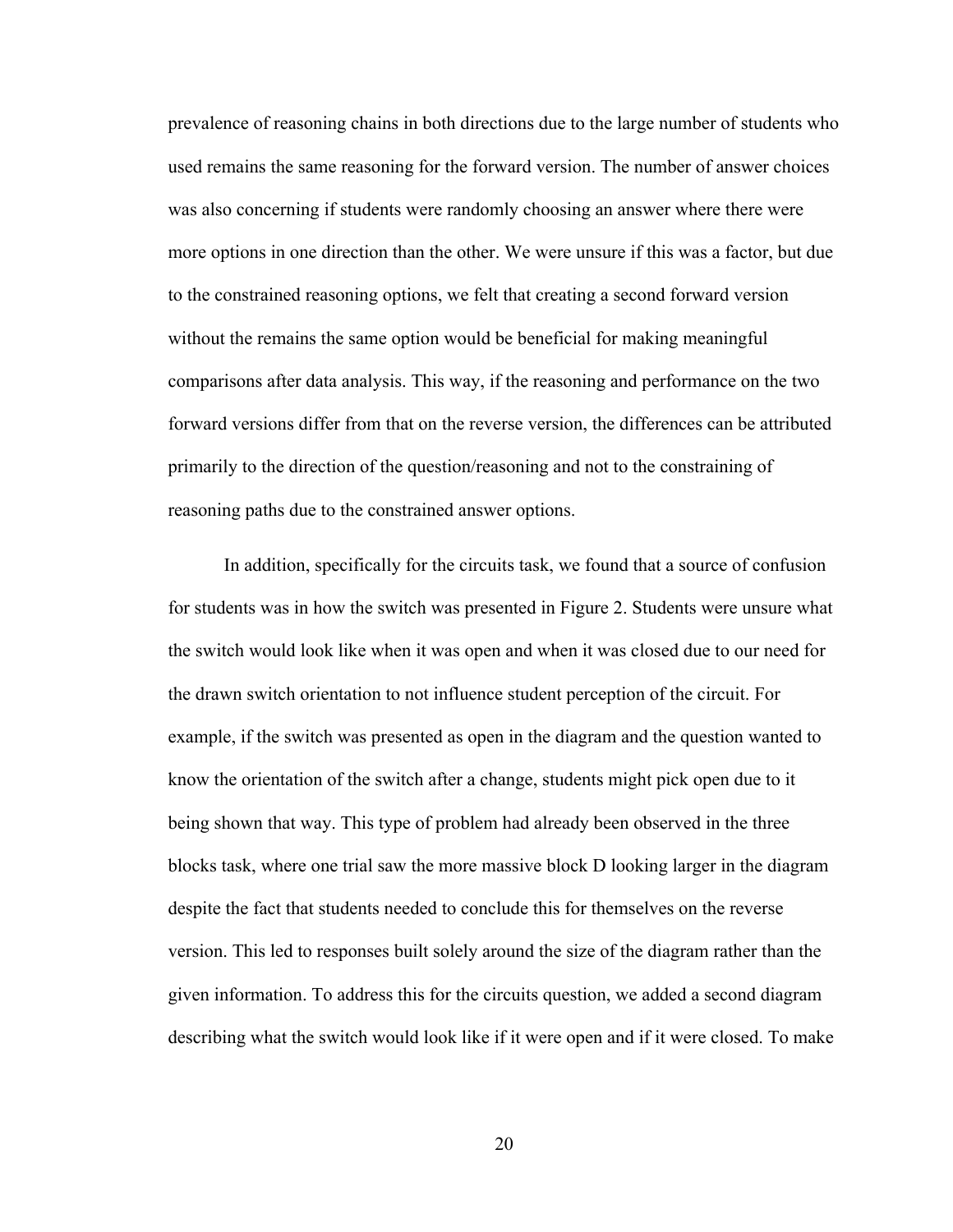prevalence of reasoning chains in both directions due to the large number of students who used remains the same reasoning for the forward version. The number of answer choices was also concerning if students were randomly choosing an answer where there were more options in one direction than the other. We were unsure if this was a factor, but due to the constrained reasoning options, we felt that creating a second forward version without the remains the same option would be beneficial for making meaningful comparisons after data analysis. This way, if the reasoning and performance on the two forward versions differ from that on the reverse version, the differences can be attributed primarily to the direction of the question/reasoning and not to the constraining of reasoning paths due to the constrained answer options.

In addition, specifically for the circuits task, we found that a source of confusion for students was in how the switch was presented in Figure 2. Students were unsure what the switch would look like when it was open and when it was closed due to our need for the drawn switch orientation to not influence student perception of the circuit. For example, if the switch was presented as open in the diagram and the question wanted to know the orientation of the switch after a change, students might pick open due to it being shown that way. This type of problem had already been observed in the three blocks task, where one trial saw the more massive block D looking larger in the diagram despite the fact that students needed to conclude this for themselves on the reverse version. This led to responses built solely around the size of the diagram rather than the given information. To address this for the circuits question, we added a second diagram describing what the switch would look like if it were open and if it were closed. To make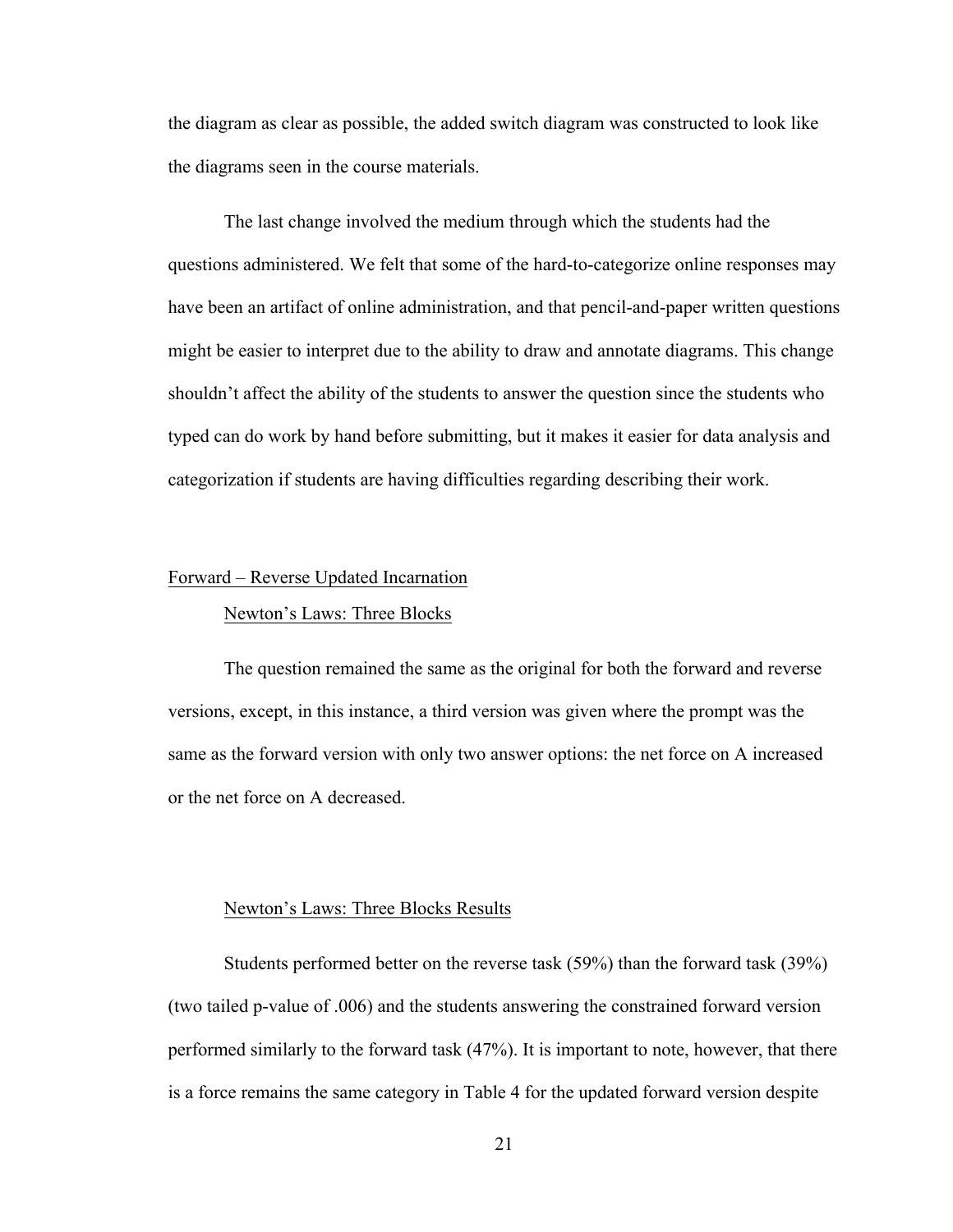the diagram as clear as possible, the added switch diagram was constructed to look like the diagrams seen in the course materials.

The last change involved the medium through which the students had the questions administered. We felt that some of the hard-to-categorize online responses may have been an artifact of online administration, and that pencil-and-paper written questions might be easier to interpret due to the ability to draw and annotate diagrams. This change shouldn't affect the ability of the students to answer the question since the students who typed can do work by hand before submitting, but it makes it easier for data analysis and categorization if students are having difficulties regarding describing their work.

## Forward – Reverse Updated Incarnation

### Newton's Laws: Three Blocks

The question remained the same as the original for both the forward and reverse versions, except, in this instance, a third version was given where the prompt was the same as the forward version with only two answer options: the net force on A increased or the net force on A decreased.

#### Newton's Laws: Three Blocks Results

Students performed better on the reverse task (59%) than the forward task (39%) (two tailed p-value of .006) and the students answering the constrained forward version performed similarly to the forward task (47%). It is important to note, however, that there is a force remains the same category in Table 4 for the updated forward version despite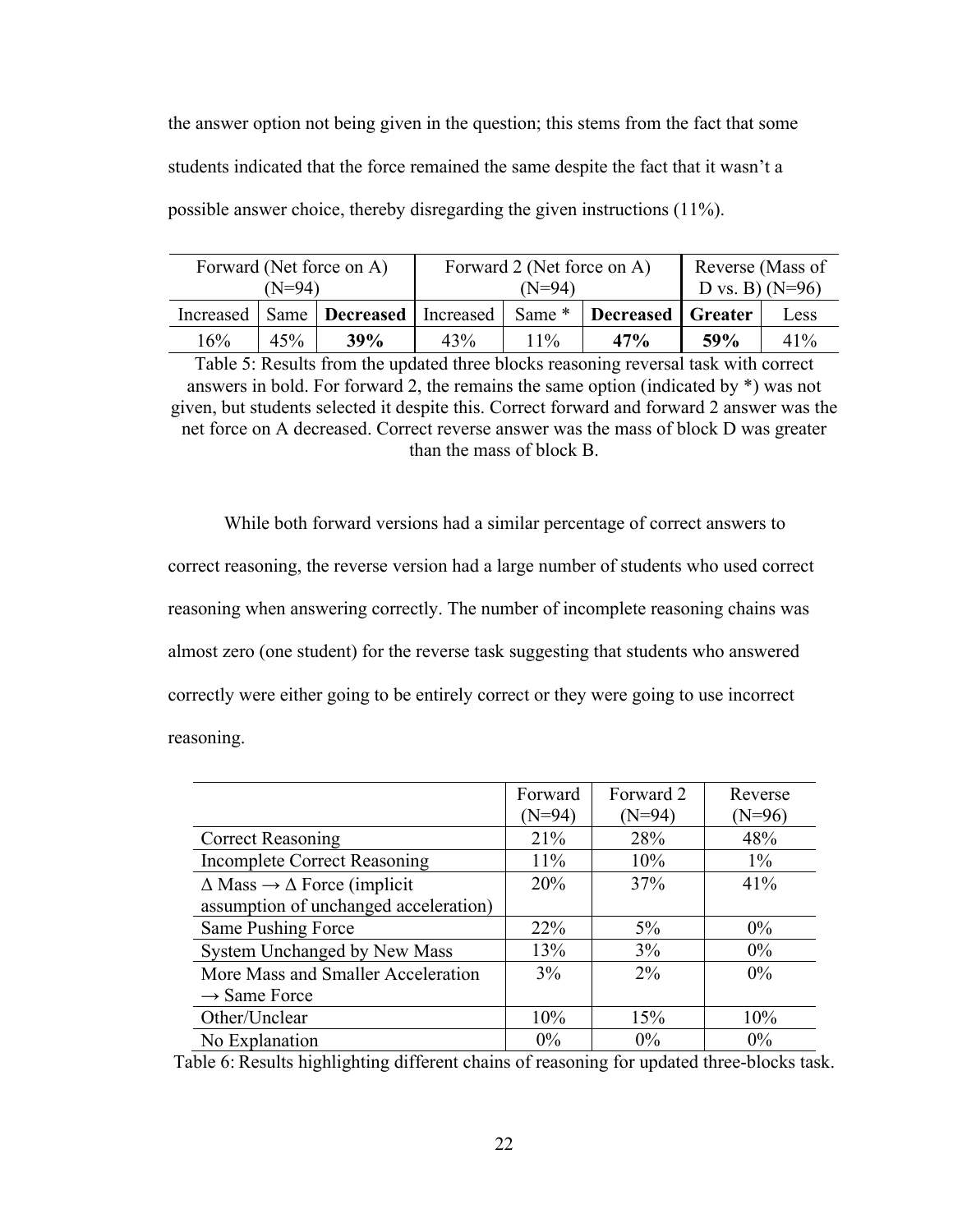the answer option not being given in the question; this stems from the fact that some students indicated that the force remained the same despite the fact that it wasn't a possible answer choice, thereby disregarding the given instructions (11%).

| Forward (Net force on A)<br>(N=94) |     | Forward 2 (Net force on A)<br>$(N=94)$   |     | Reverse (Mass of<br>D vs. B) $(N=96)$ |                   |     |      |
|------------------------------------|-----|------------------------------------------|-----|---------------------------------------|-------------------|-----|------|
|                                    |     | Increased   Same   Decreased   Increased |     | Same *                                | Decreased Greater |     | Less |
| 16%                                | 45% | 39%                                      | 43% | 11%                                   | 47%               | 59% | 41%  |

Table 5: Results from the updated three blocks reasoning reversal task with correct answers in bold. For forward 2, the remains the same option (indicated by \*) was not given, but students selected it despite this. Correct forward and forward 2 answer was the net force on A decreased. Correct reverse answer was the mass of block D was greater than the mass of block B.

While both forward versions had a similar percentage of correct answers to correct reasoning, the reverse version had a large number of students who used correct reasoning when answering correctly. The number of incomplete reasoning chains was almost zero (one student) for the reverse task suggesting that students who answered correctly were either going to be entirely correct or they were going to use incorrect reasoning.

|                                                    | Forward<br>$(N=94)$ | Forward 2<br>$(N=94)$ | Reverse<br>(N=96) |
|----------------------------------------------------|---------------------|-----------------------|-------------------|
| <b>Correct Reasoning</b>                           | 21%                 | 28%                   | 48%               |
| <b>Incomplete Correct Reasoning</b>                | 11%                 | 10%                   | $1\%$             |
| $\Delta$ Mass $\rightarrow \Delta$ Force (implicit | 20%                 | 37%                   | 41%               |
| assumption of unchanged acceleration)              |                     |                       |                   |
| Same Pushing Force                                 | 22%                 | $5\%$                 | $0\%$             |
| System Unchanged by New Mass                       | 13%                 | 3%                    | $0\%$             |
| More Mass and Smaller Acceleration                 | 3%                  | $2\%$                 | $0\%$             |
| $\rightarrow$ Same Force                           |                     |                       |                   |
| Other/Unclear                                      | 10%                 | 15%                   | 10%               |
| No Explanation                                     | $0\%$               | $0\%$                 | $0\%$             |

Table 6: Results highlighting different chains of reasoning for updated three-blocks task.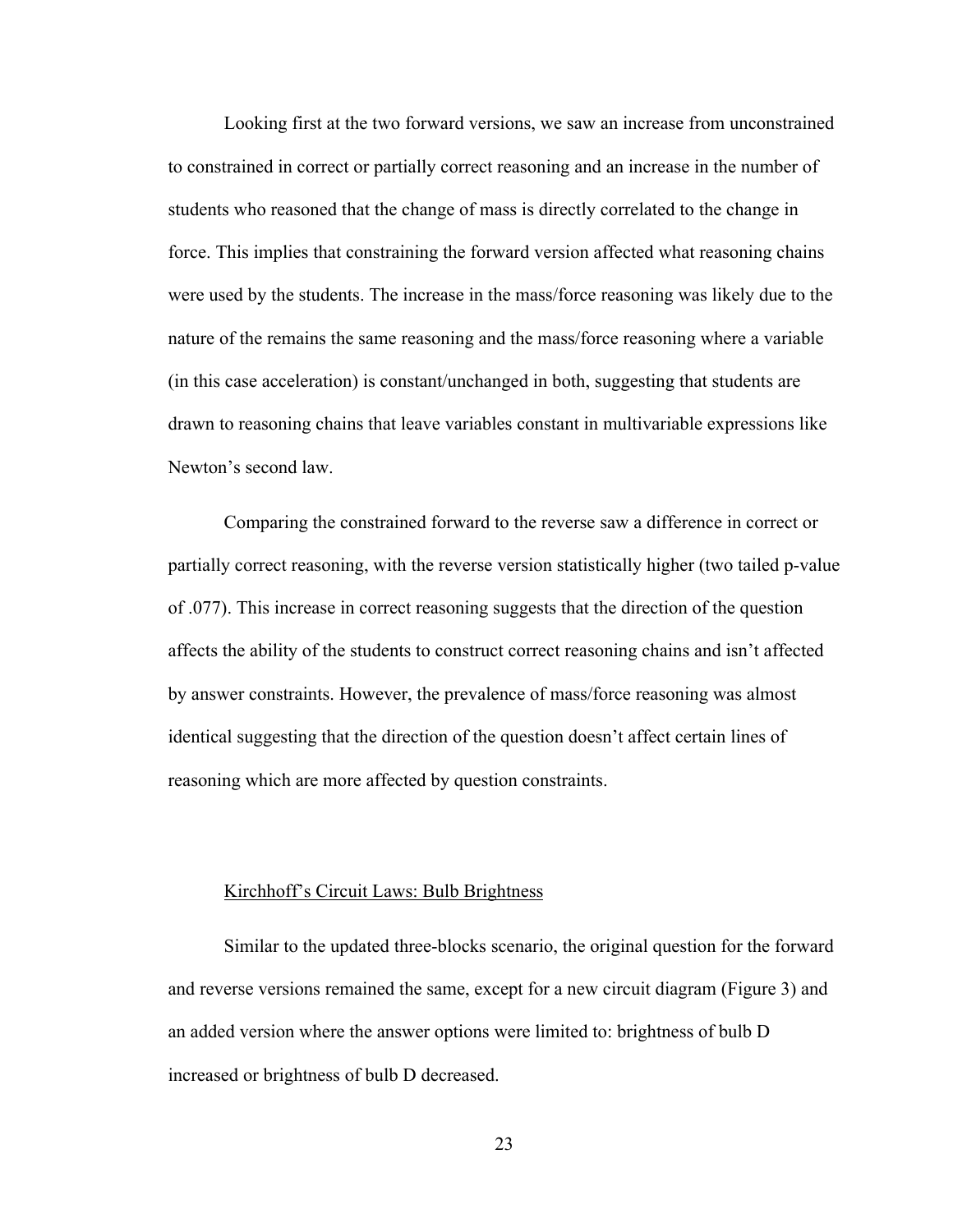Looking first at the two forward versions, we saw an increase from unconstrained to constrained in correct or partially correct reasoning and an increase in the number of students who reasoned that the change of mass is directly correlated to the change in force. This implies that constraining the forward version affected what reasoning chains were used by the students. The increase in the mass/force reasoning was likely due to the nature of the remains the same reasoning and the mass/force reasoning where a variable (in this case acceleration) is constant/unchanged in both, suggesting that students are drawn to reasoning chains that leave variables constant in multivariable expressions like Newton's second law.

Comparing the constrained forward to the reverse saw a difference in correct or partially correct reasoning, with the reverse version statistically higher (two tailed p-value of .077). This increase in correct reasoning suggests that the direction of the question affects the ability of the students to construct correct reasoning chains and isn't affected by answer constraints. However, the prevalence of mass/force reasoning was almost identical suggesting that the direction of the question doesn't affect certain lines of reasoning which are more affected by question constraints.

#### Kirchhoff's Circuit Laws: Bulb Brightness

Similar to the updated three-blocks scenario, the original question for the forward and reverse versions remained the same, except for a new circuit diagram (Figure 3) and an added version where the answer options were limited to: brightness of bulb D increased or brightness of bulb D decreased.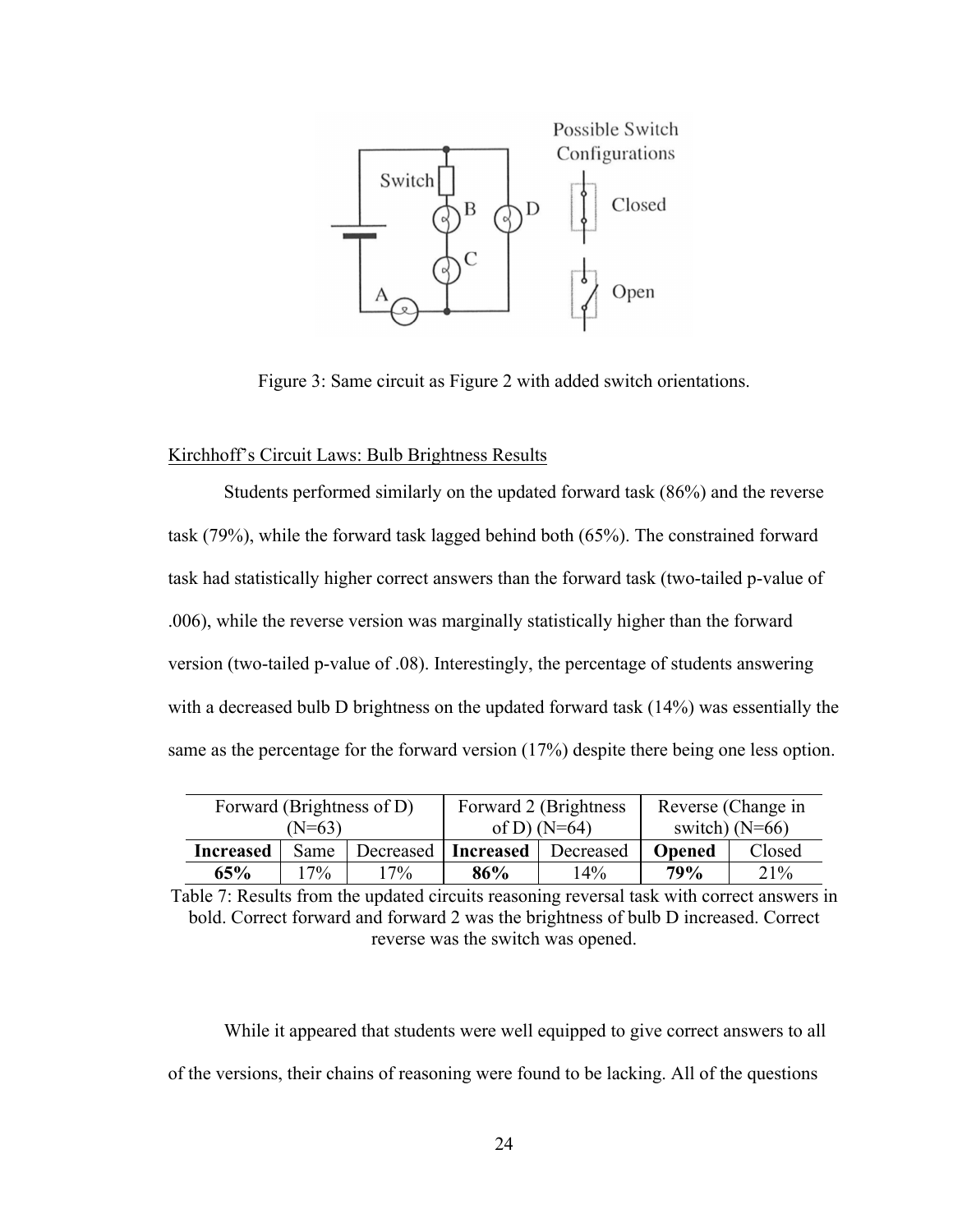

Figure 3: Same circuit as Figure 2 with added switch orientations.

# Kirchhoff's Circuit Laws: Bulb Brightness Results

Students performed similarly on the updated forward task (86%) and the reverse task (79%), while the forward task lagged behind both (65%). The constrained forward task had statistically higher correct answers than the forward task (two-tailed p-value of .006), while the reverse version was marginally statistically higher than the forward version (two-tailed p-value of .08). Interestingly, the percentage of students answering with a decreased bulb D brightness on the updated forward task (14%) was essentially the same as the percentage for the forward version (17%) despite there being one less option.

| Forward (Brightness of D) |             |        | Forward 2 (Brightness) | Reverse (Change in |               |        |                  |  |  |
|---------------------------|-------------|--------|------------------------|--------------------|---------------|--------|------------------|--|--|
|                           | (N=63)      |        | of D) $(N=64)$         |                    |               |        | switch) $(N=66)$ |  |  |
| <b>Increased</b>          | <b>Same</b> |        | Decreased   Increased  | Decreased          | <b>Opened</b> | Closed |                  |  |  |
| 65%                       | $17\%$      | $17\%$ | 86%                    | 14%                | 79%           | 21%    |                  |  |  |

Table 7: Results from the updated circuits reasoning reversal task with correct answers in bold. Correct forward and forward 2 was the brightness of bulb D increased. Correct reverse was the switch was opened.

While it appeared that students were well equipped to give correct answers to all of the versions, their chains of reasoning were found to be lacking. All of the questions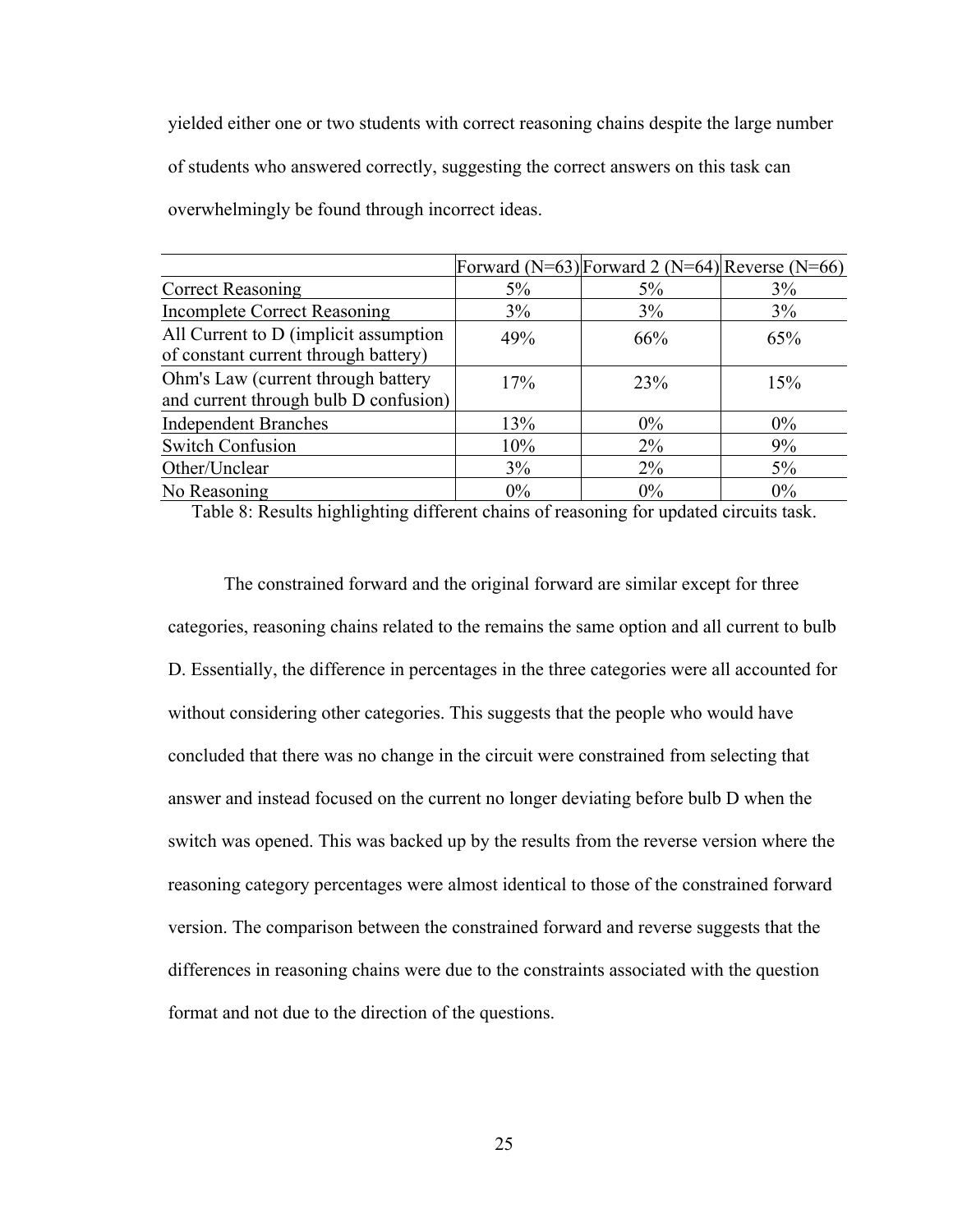yielded either one or two students with correct reasoning chains despite the large number of students who answered correctly, suggesting the correct answers on this task can overwhelmingly be found through incorrect ideas.

|                                                                               |       | Forward (N=63) Forward 2 (N=64) Reverse (N=66) |       |
|-------------------------------------------------------------------------------|-------|------------------------------------------------|-------|
| <b>Correct Reasoning</b>                                                      | 5%    | $5\%$                                          | 3%    |
| <b>Incomplete Correct Reasoning</b>                                           | 3%    | 3%                                             | 3%    |
| All Current to D (implicit assumption<br>of constant current through battery) | 49%   | 66%                                            | 65%   |
| Ohm's Law (current through battery<br>and current through bulb D confusion)   | 17%   | 23%                                            | 15%   |
| <b>Independent Branches</b>                                                   | 13%   | $0\%$                                          | $0\%$ |
| <b>Switch Confusion</b>                                                       | 10%   | $2\%$                                          | 9%    |
| Other/Unclear                                                                 | 3%    | $2\%$                                          | $5\%$ |
| No Reasoning                                                                  | $0\%$ | $0\%$                                          | $0\%$ |

Table 8: Results highlighting different chains of reasoning for updated circuits task.

The constrained forward and the original forward are similar except for three categories, reasoning chains related to the remains the same option and all current to bulb D. Essentially, the difference in percentages in the three categories were all accounted for without considering other categories. This suggests that the people who would have concluded that there was no change in the circuit were constrained from selecting that answer and instead focused on the current no longer deviating before bulb D when the switch was opened. This was backed up by the results from the reverse version where the reasoning category percentages were almost identical to those of the constrained forward version. The comparison between the constrained forward and reverse suggests that the differences in reasoning chains were due to the constraints associated with the question format and not due to the direction of the questions.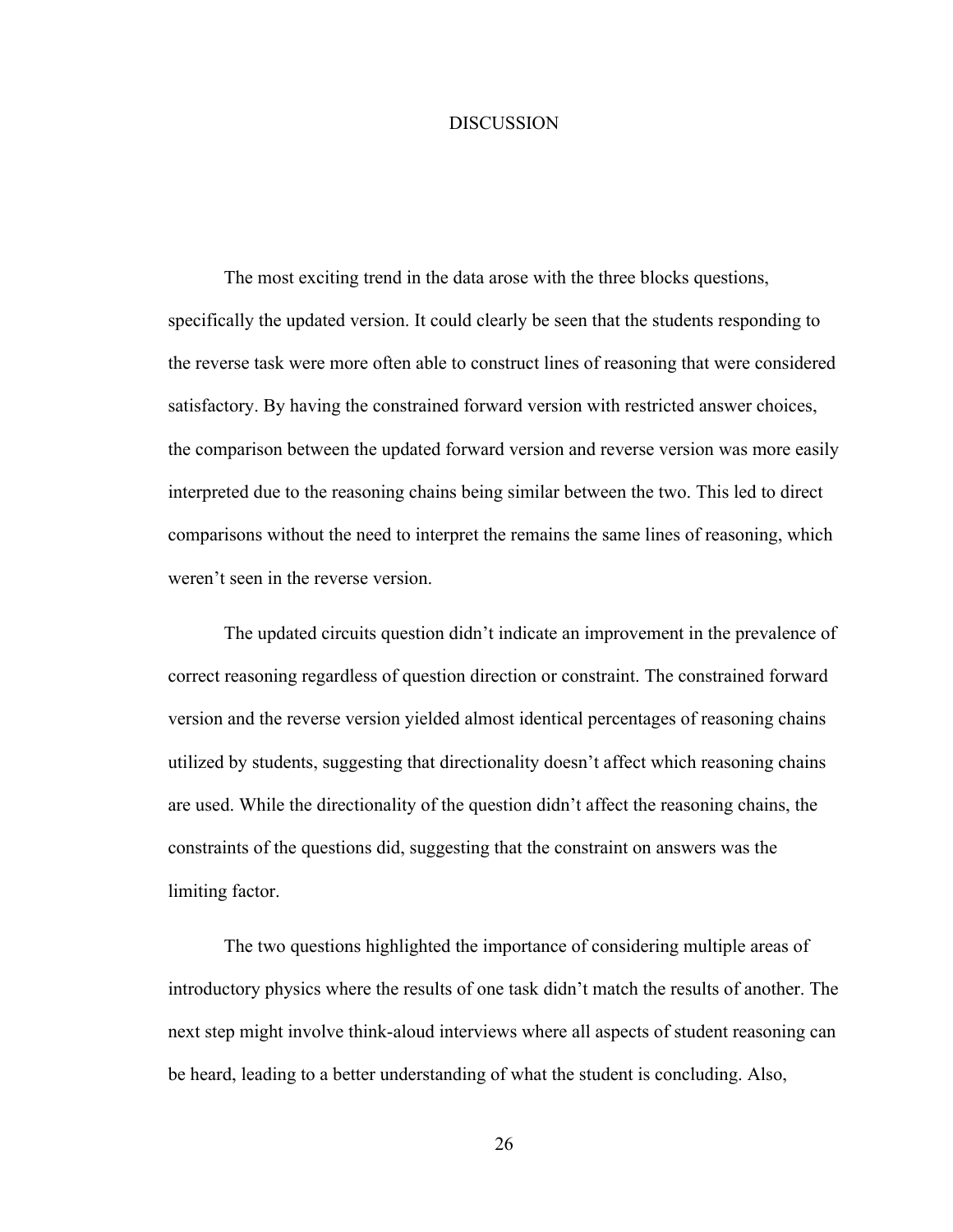#### **DISCUSSION**

The most exciting trend in the data arose with the three blocks questions, specifically the updated version. It could clearly be seen that the students responding to the reverse task were more often able to construct lines of reasoning that were considered satisfactory. By having the constrained forward version with restricted answer choices, the comparison between the updated forward version and reverse version was more easily interpreted due to the reasoning chains being similar between the two. This led to direct comparisons without the need to interpret the remains the same lines of reasoning, which weren't seen in the reverse version.

The updated circuits question didn't indicate an improvement in the prevalence of correct reasoning regardless of question direction or constraint. The constrained forward version and the reverse version yielded almost identical percentages of reasoning chains utilized by students, suggesting that directionality doesn't affect which reasoning chains are used. While the directionality of the question didn't affect the reasoning chains, the constraints of the questions did, suggesting that the constraint on answers was the limiting factor.

The two questions highlighted the importance of considering multiple areas of introductory physics where the results of one task didn't match the results of another. The next step might involve think-aloud interviews where all aspects of student reasoning can be heard, leading to a better understanding of what the student is concluding. Also,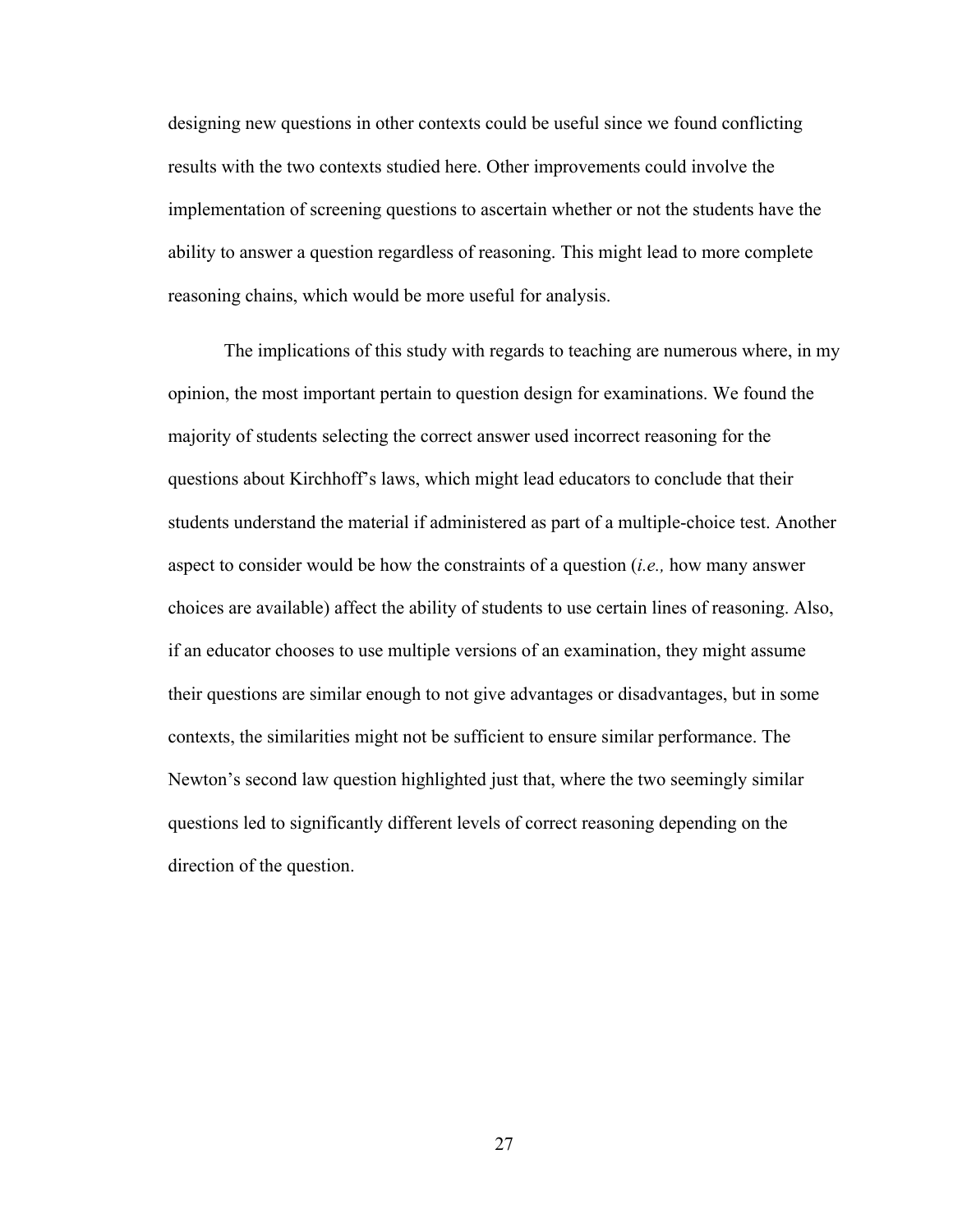designing new questions in other contexts could be useful since we found conflicting results with the two contexts studied here. Other improvements could involve the implementation of screening questions to ascertain whether or not the students have the ability to answer a question regardless of reasoning. This might lead to more complete reasoning chains, which would be more useful for analysis.

The implications of this study with regards to teaching are numerous where, in my opinion, the most important pertain to question design for examinations. We found the majority of students selecting the correct answer used incorrect reasoning for the questions about Kirchhoff's laws, which might lead educators to conclude that their students understand the material if administered as part of a multiple-choice test. Another aspect to consider would be how the constraints of a question (*i.e.,* how many answer choices are available) affect the ability of students to use certain lines of reasoning. Also, if an educator chooses to use multiple versions of an examination, they might assume their questions are similar enough to not give advantages or disadvantages, but in some contexts, the similarities might not be sufficient to ensure similar performance. The Newton's second law question highlighted just that, where the two seemingly similar questions led to significantly different levels of correct reasoning depending on the direction of the question.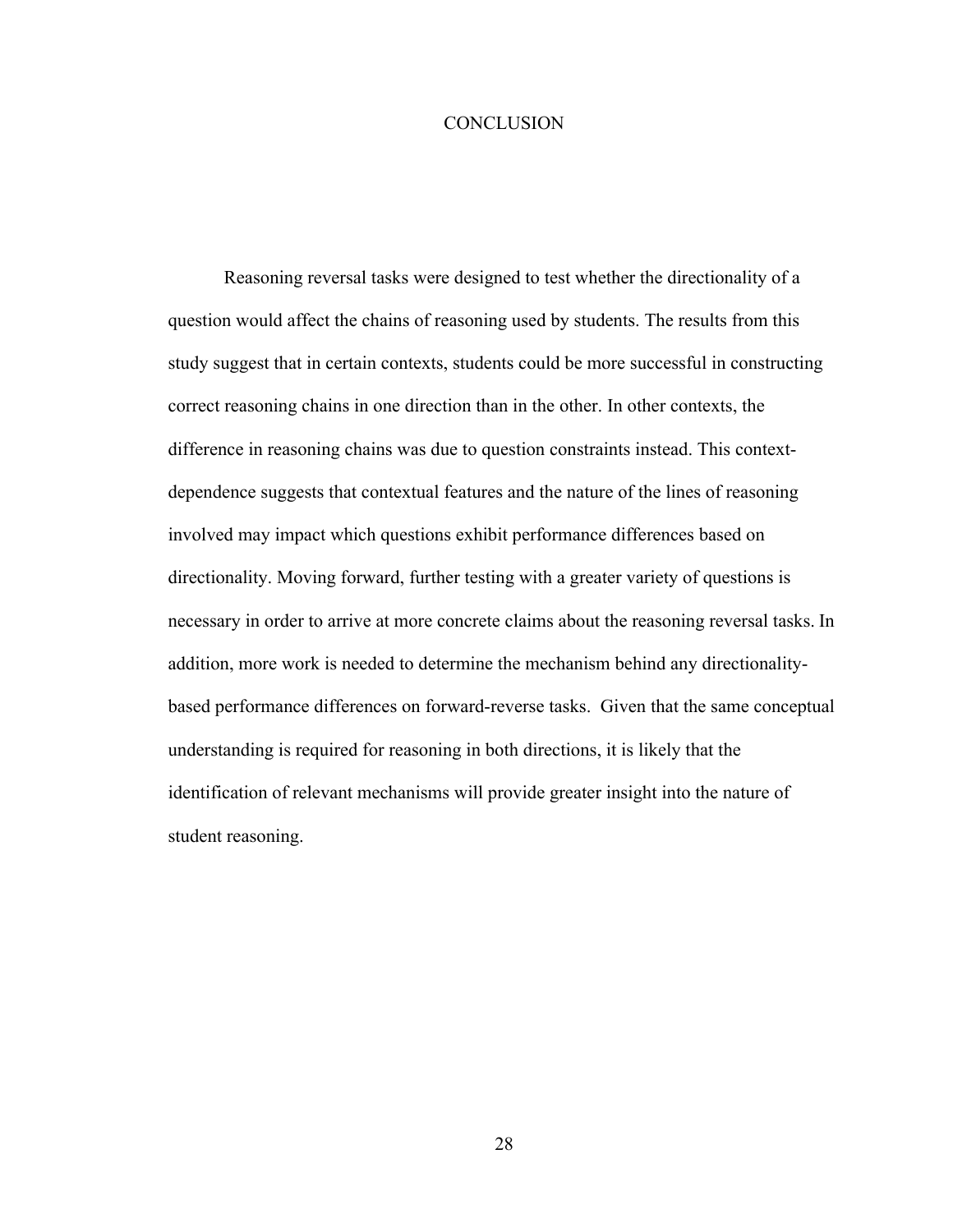#### **CONCLUSION**

Reasoning reversal tasks were designed to test whether the directionality of a question would affect the chains of reasoning used by students. The results from this study suggest that in certain contexts, students could be more successful in constructing correct reasoning chains in one direction than in the other. In other contexts, the difference in reasoning chains was due to question constraints instead. This contextdependence suggests that contextual features and the nature of the lines of reasoning involved may impact which questions exhibit performance differences based on directionality. Moving forward, further testing with a greater variety of questions is necessary in order to arrive at more concrete claims about the reasoning reversal tasks. In addition, more work is needed to determine the mechanism behind any directionalitybased performance differences on forward-reverse tasks. Given that the same conceptual understanding is required for reasoning in both directions, it is likely that the identification of relevant mechanisms will provide greater insight into the nature of student reasoning.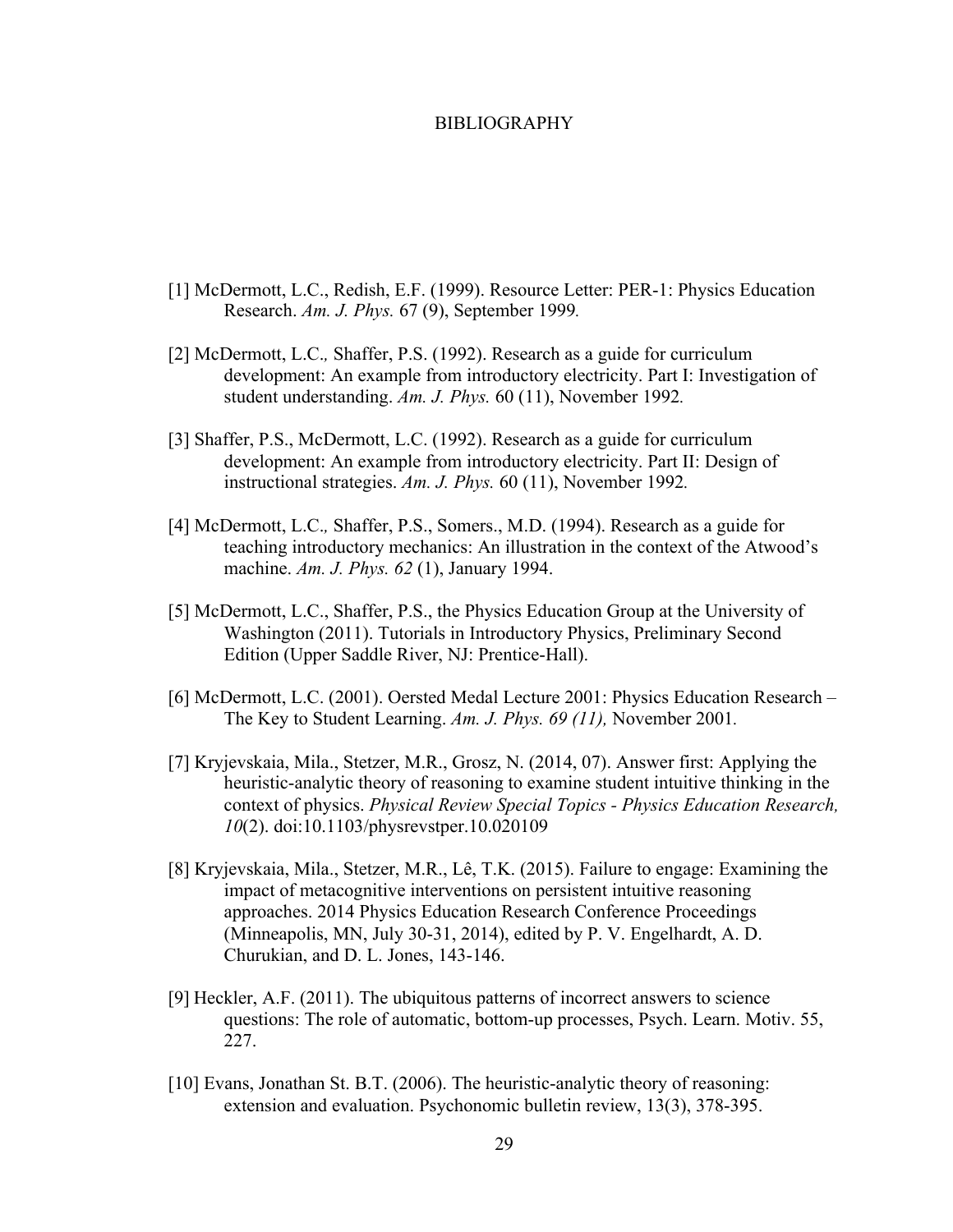#### BIBLIOGRAPHY

- [1] McDermott, L.C., Redish, E.F. (1999). Resource Letter: PER-1: Physics Education Research. *Am. J. Phys.* 67 (9), September 1999*.*
- [2] McDermott, L.C.*,* Shaffer, P.S. (1992). Research as a guide for curriculum development: An example from introductory electricity. Part I: Investigation of student understanding. *Am. J. Phys.* 60 (11), November 1992*.*
- [3] Shaffer, P.S., McDermott, L.C. (1992). Research as a guide for curriculum development: An example from introductory electricity. Part II: Design of instructional strategies. *Am. J. Phys.* 60 (11), November 1992*.*
- [4] McDermott, L.C.*,* Shaffer, P.S., Somers., M.D. (1994). Research as a guide for teaching introductory mechanics: An illustration in the context of the Atwood's machine. *Am. J. Phys. 62* (1), January 1994.
- [5] McDermott, L.C., Shaffer, P.S., the Physics Education Group at the University of Washington (2011). Tutorials in Introductory Physics, Preliminary Second Edition (Upper Saddle River, NJ: Prentice-Hall).
- [6] McDermott, L.C. (2001). Oersted Medal Lecture 2001: Physics Education Research The Key to Student Learning. *Am. J. Phys. 69 (11),* November 2001*.*
- [7] Kryjevskaia, Mila., Stetzer, M.R., Grosz, N. (2014, 07). Answer first: Applying the heuristic-analytic theory of reasoning to examine student intuitive thinking in the context of physics. *Physical Review Special Topics - Physics Education Research, 10*(2). doi:10.1103/physrevstper.10.020109
- [8] Kryjevskaia, Mila., Stetzer, M.R., Lê, T.K. (2015). Failure to engage: Examining the impact of metacognitive interventions on persistent intuitive reasoning approaches. 2014 Physics Education Research Conference Proceedings (Minneapolis, MN, July 30-31, 2014), edited by P. V. Engelhardt, A. D. Churukian, and D. L. Jones, 143-146.
- [9] Heckler, A.F. (2011). The ubiquitous patterns of incorrect answers to science questions: The role of automatic, bottom-up processes, Psych. Learn. Motiv. 55, 227.
- [10] Evans, Jonathan St. B.T. (2006). The heuristic-analytic theory of reasoning: extension and evaluation. Psychonomic bulletin review, 13(3), 378-395.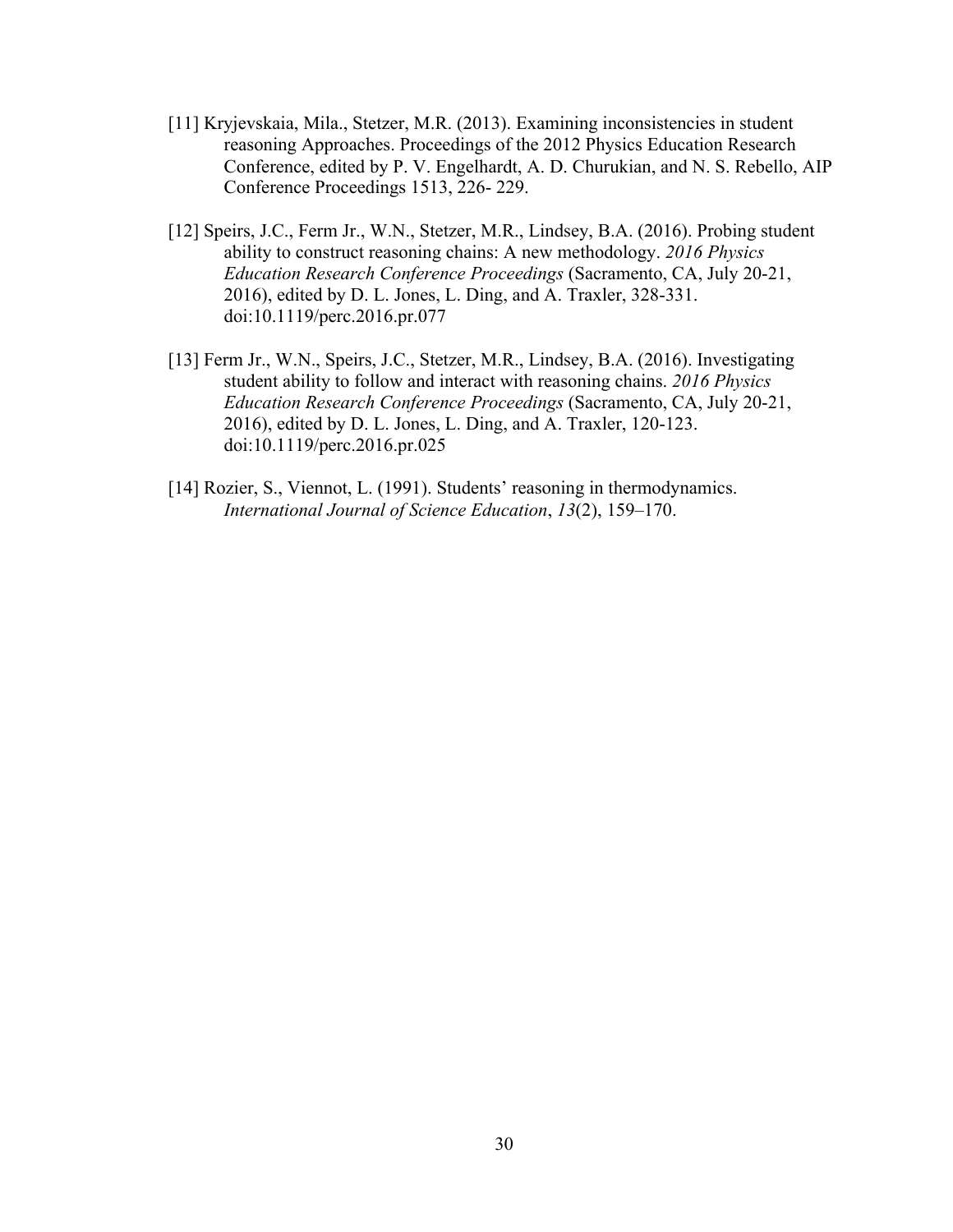- [11] Kryjevskaia, Mila., Stetzer, M.R. (2013). Examining inconsistencies in student reasoning Approaches. Proceedings of the 2012 Physics Education Research Conference, edited by P. V. Engelhardt, A. D. Churukian, and N. S. Rebello, AIP Conference Proceedings 1513, 226- 229.
- [12] Speirs, J.C., Ferm Jr., W.N., Stetzer, M.R., Lindsey, B.A. (2016). Probing student ability to construct reasoning chains: A new methodology. *2016 Physics Education Research Conference Proceedings* (Sacramento, CA, July 20-21, 2016), edited by D. L. Jones, L. Ding, and A. Traxler, 328-331. doi:10.1119/perc.2016.pr.077
- [13] Ferm Jr., W.N., Speirs, J.C., Stetzer, M.R., Lindsey, B.A. (2016). Investigating student ability to follow and interact with reasoning chains. *2016 Physics Education Research Conference Proceedings* (Sacramento, CA, July 20-21, 2016), edited by D. L. Jones, L. Ding, and A. Traxler, 120-123. doi:10.1119/perc.2016.pr.025
- [14] Rozier, S., Viennot, L. (1991). Students' reasoning in thermodynamics. *International Journal of Science Education*, *13*(2), 159–170.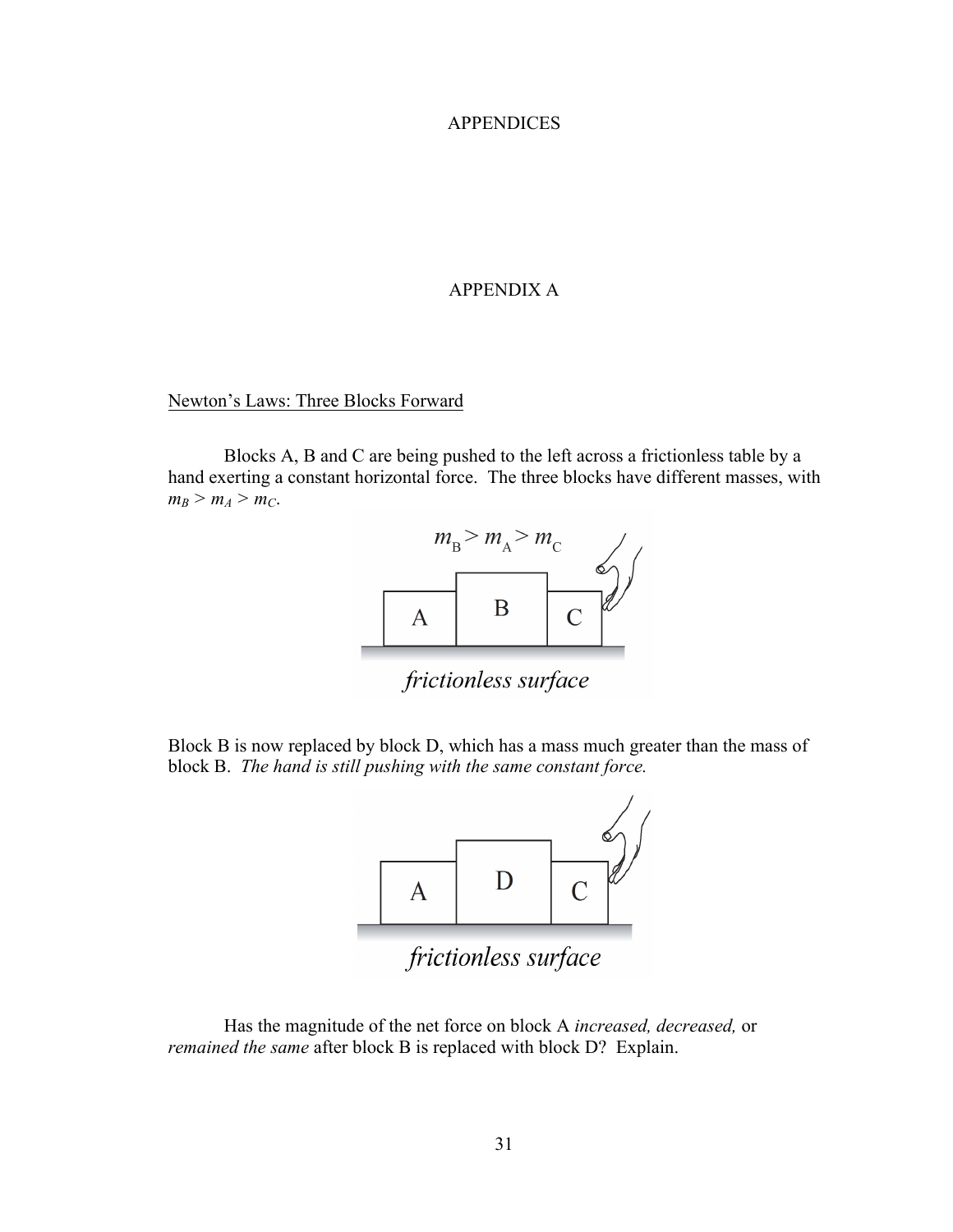#### APPENDICES

#### APPENDIX A

#### Newton's Laws: Three Blocks Forward

Blocks A, B and C are being pushed to the left across a frictionless table by a hand exerting a constant horizontal force. The three blocks have different masses, with  $m_B > m_A > m_C$ .



frictionless surface

Block B is now replaced by block D, which has a mass much greater than the mass of block B. *The hand is still pushing with the same constant force.*



Has the magnitude of the net force on block A *increased, decreased,* or *remained the same* after block B is replaced with block D? Explain.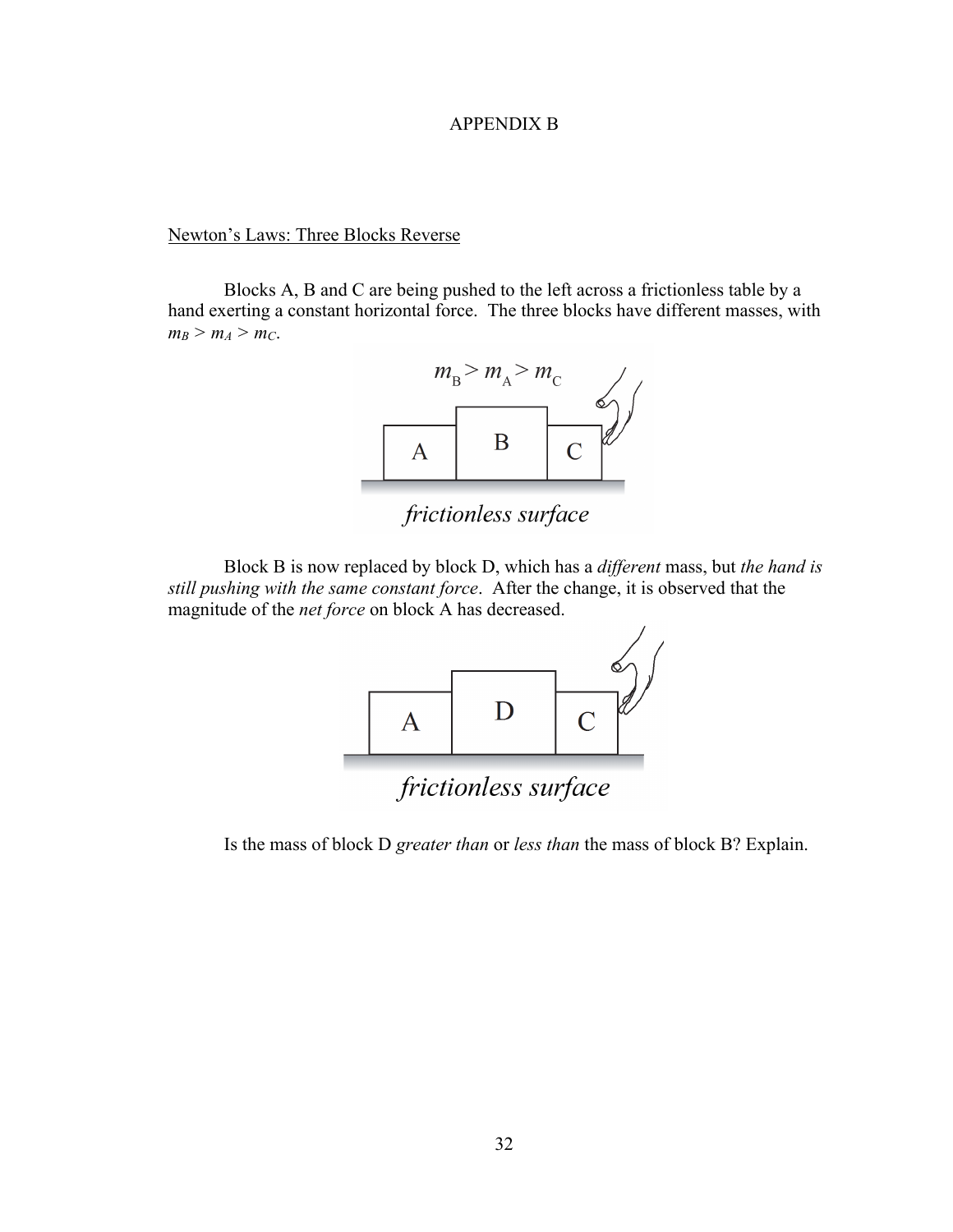#### APPENDIX B

Newton's Laws: Three Blocks Reverse

Blocks A, B and C are being pushed to the left across a frictionless table by a hand exerting a constant horizontal force. The three blocks have different masses, with  $m_B > m_A > m_C$ .



frictionless surface

Block B is now replaced by block D, which has a *different* mass, but *the hand is still pushing with the same constant force*. After the change, it is observed that the magnitude of the *net force* on block A has decreased.



Is the mass of block D *greater than* or *less than* the mass of block B? Explain.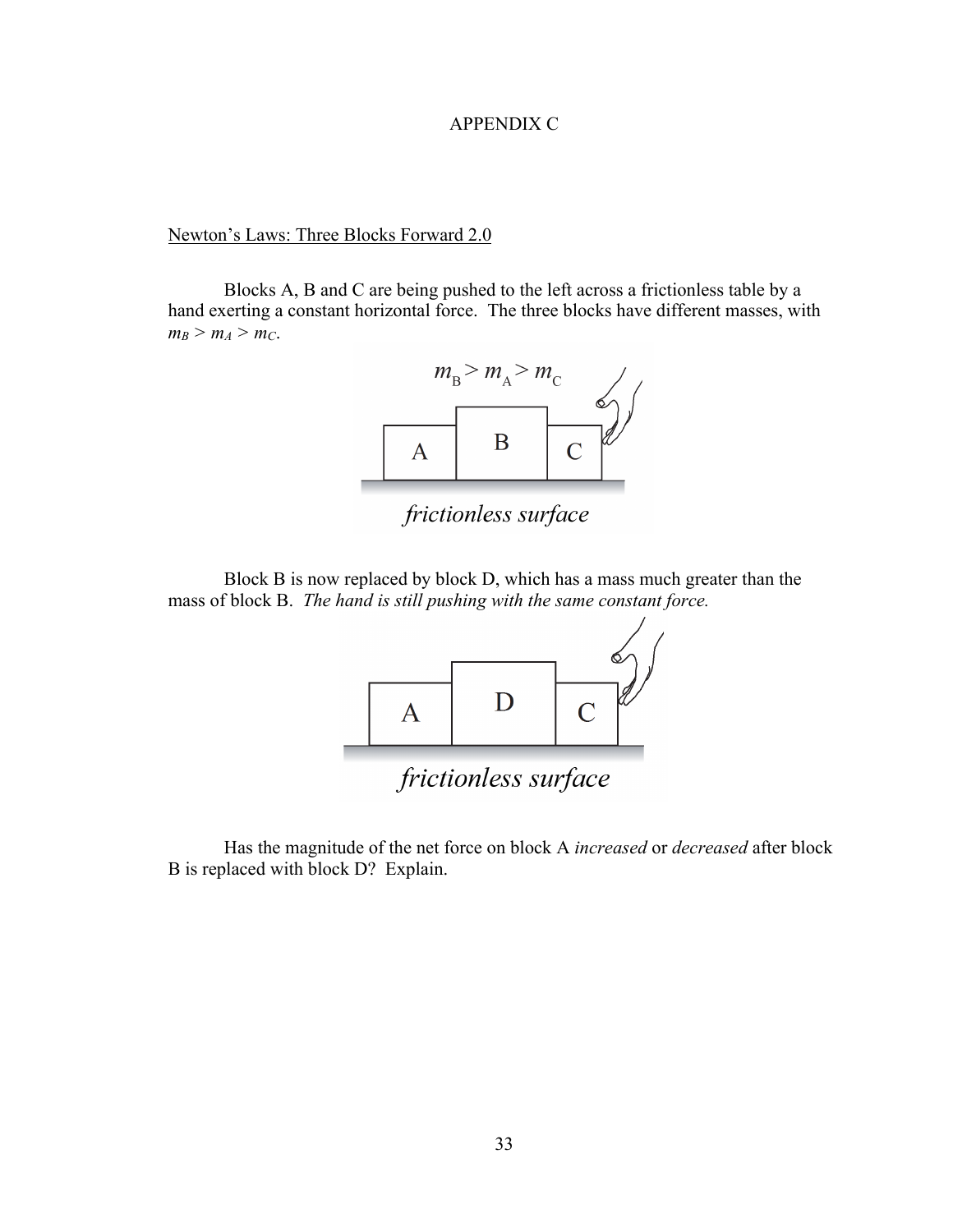## APPENDIX C

# Newton's Laws: Three Blocks Forward 2.0

Blocks A, B and C are being pushed to the left across a frictionless table by a hand exerting a constant horizontal force. The three blocks have different masses, with  $m_B > m_A > m_C$ .



frictionless surface

Block B is now replaced by block D, which has a mass much greater than the mass of block B. *The hand is still pushing with the same constant force.*



Has the magnitude of the net force on block A *increased* or *decreased* after block B is replaced with block D? Explain.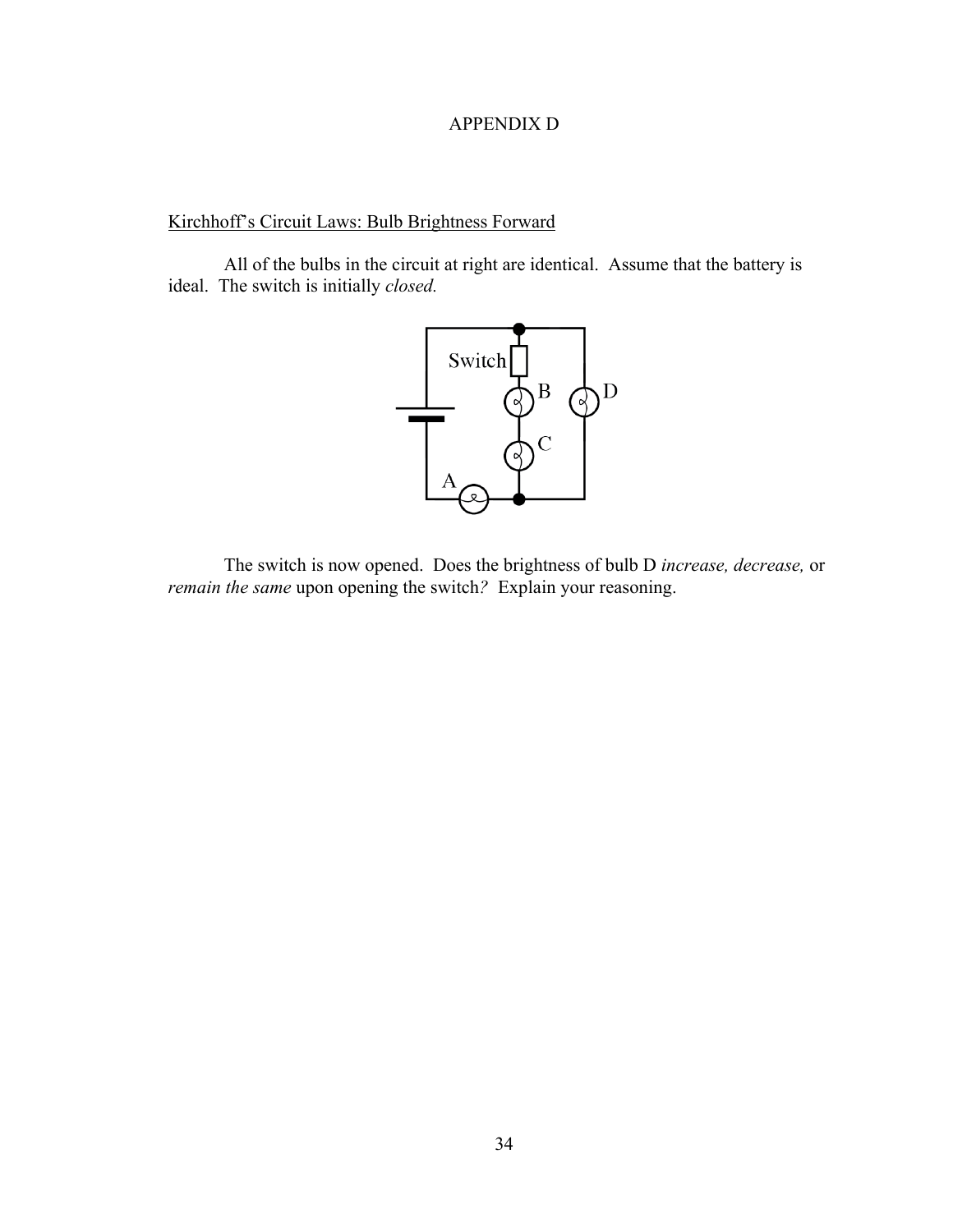# APPENDIX D

# Kirchhoff's Circuit Laws: Bulb Brightness Forward

All of the bulbs in the circuit at right are identical. Assume that the battery is ideal. The switch is initially *closed.*



The switch is now opened. Does the brightness of bulb D *increase, decrease,* or *remain the same upon opening the switch?* Explain your reasoning.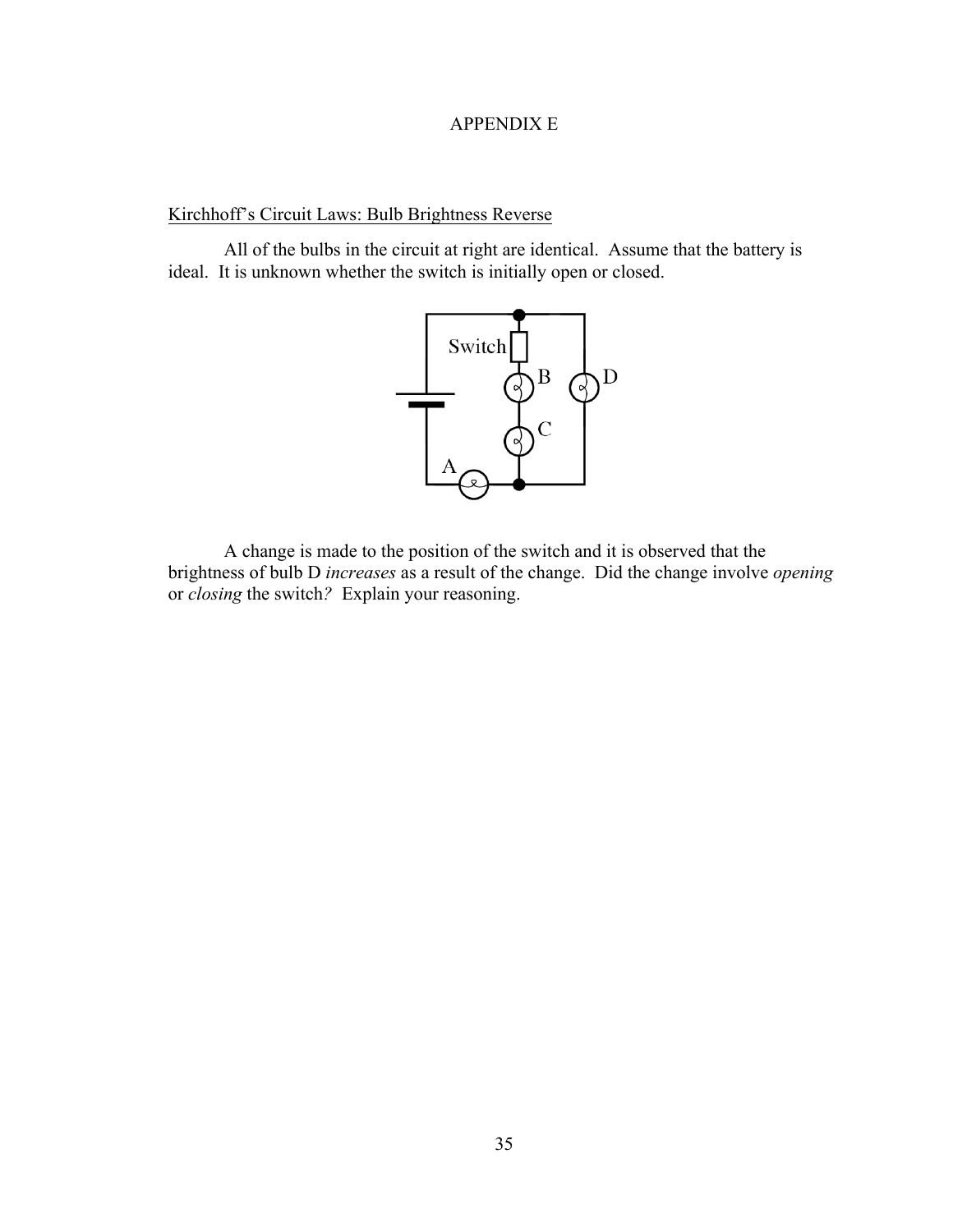# APPENDIX E

# Kirchhoff's Circuit Laws: Bulb Brightness Reverse

All of the bulbs in the circuit at right are identical. Assume that the battery is ideal. It is unknown whether the switch is initially open or closed.



A change is made to the position of the switch and it is observed that the brightness of bulb D *increases* as a result of the change. Did the change involve *opening*  or *closing* the switch*?* Explain your reasoning.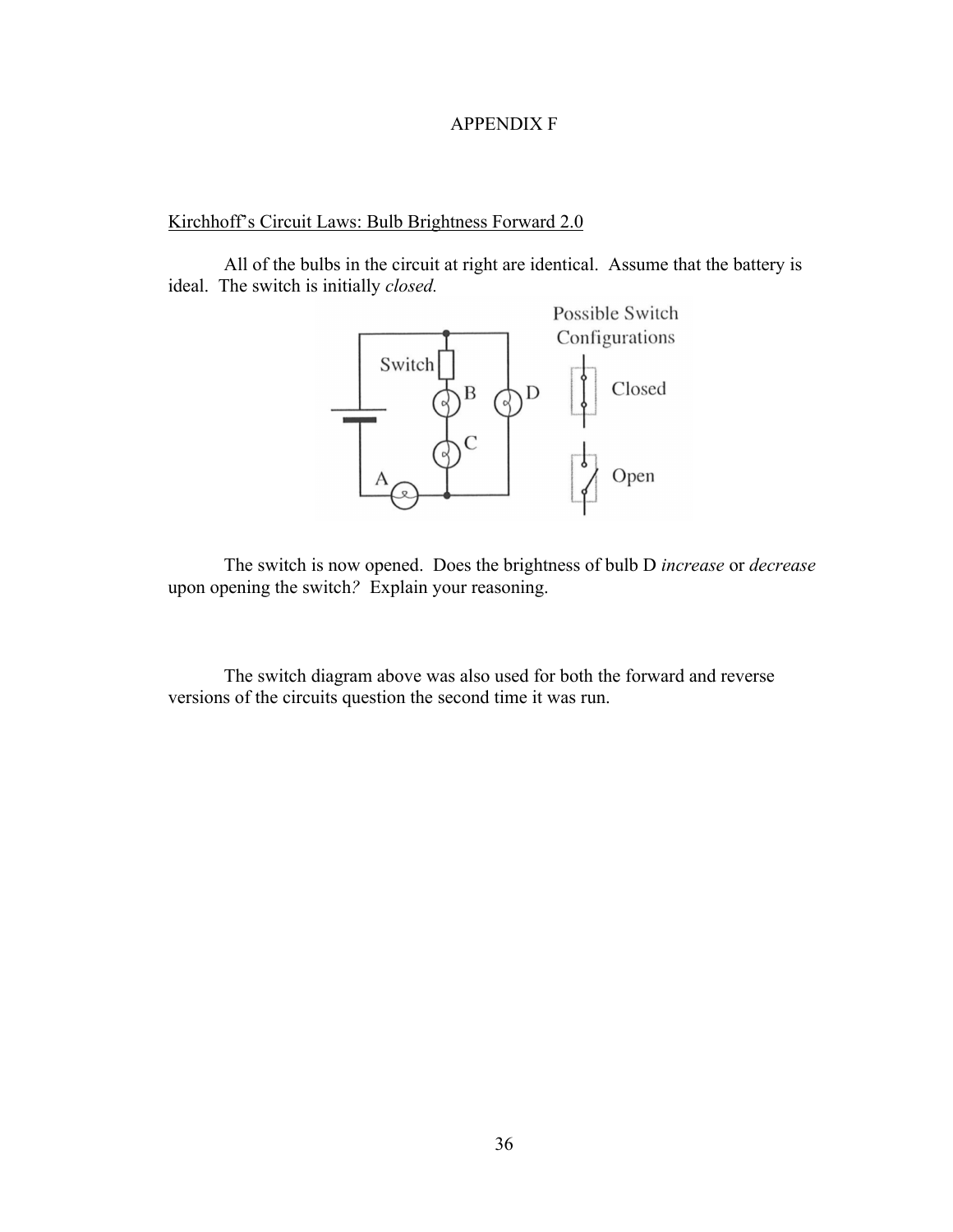## APPENDIX F

# Kirchhoff's Circuit Laws: Bulb Brightness Forward 2.0

All of the bulbs in the circuit at right are identical. Assume that the battery is ideal. The switch is initially *closed.*



The switch is now opened. Does the brightness of bulb D *increase* or *decrease*  upon opening the switch*?* Explain your reasoning.

The switch diagram above was also used for both the forward and reverse versions of the circuits question the second time it was run.